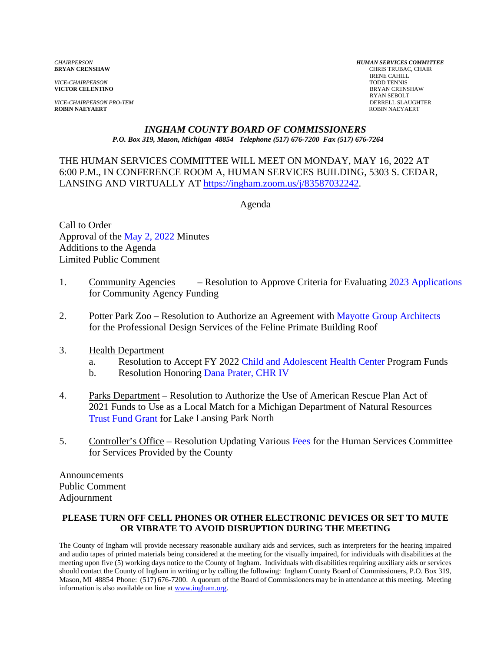*VICE-CHAIRPERSON*<br>**VICTOR CELENTINO** 

*VICE-CHAIRPERSON PRO-TEM* DERRELL SLAUGHTER **ROBIN NAEYAERT** ROBIN NAEYAERT

*CHAIRPERSON HUMAN SERVICES COMMITTEE* **CHRIS TRUBAC, CHAIR** IRENE CAHILL<br>TODD TENNIS **BRYAN CRENSHAW** RYAN SEBOLT

#### *INGHAM COUNTY BOARD OF COMMISSIONERS P.O. Box 319, Mason, Michigan 48854 Telephone (517) 676-7200 Fax (517) 676-7264*

THE HUMAN SERVICES COMMITTEE WILL MEET ON MONDAY, MAY 16, 2022 AT 6:00 P.M., IN CONFERENCE [ROOM A, HUMAN SERVICES BUILDING, 5303 S. CE](https://ingham.zoom.us/j/83587032242)DAR, LANSING AND VIRTUALLY AT https://ingham.zoom.us/j/83587032242.

Agenda

Call to Order Approval of the May [2, 2022 Minutes](#page-1-0)  Additions to the Agenda Limited Public Comment

- 1. Community Agencies Resolution to Approve Criteria for Evalu[ating 2023 Applications](#page-8-0) for Community Agency Funding
- 2. Potter Park Zoo Resolution to Authorize an Agreeme[nt with Mayotte Group Architects](#page-10-0) for the Professional Design Services of the Feline Primate Building Roof

#### 3. Health Department

- a. Resolution to Accept FY [2022 Child and Adolescent Health Center Progra](#page-12-0)m Funds
- b. Resolution Honori[ng Dana Prater, CHR IV](#page-14-0)
- 4. Parks Department Resolution to Authorize the Use of American Rescue Plan Act of 2021 Funds to Use as a Local Match for a Michigan Department of Natural Resources [Trust Fund Grant for Lake L](#page-15-0)ansing Park North
- 5. Controller's Office Resolution Updating Var[ious Fees for the Human S](#page-20-0)ervices Committee for Services Provided by the County

Announcements Public Comment Adjournment

#### **PLEASE TURN OFF CELL PHONES OR OTHER ELECTRONIC DEVICES OR SET TO MUTE OR VIBRATE TO AVOID DISRUPTION DURING THE MEETING**

The County of Ingham will provide necessary reasonable auxiliary aids and services, such as interpreters for the hearing impaired and audio tapes of printed materials being considered at the meeting for the visually impaired, for individuals with disabilities at the meeting upon five (5) working days notice to the County of Ingham. Individuals with disabilities requiring auxiliary aids or services should contact the County of Ingham in writing or by calling the following: Ingham County Board of Commissioners, P.O. Box 319, Mason, MI 48854 Phone: (517) 676-7200. A quorum of the Board of Commissioners may be in attendance at this meeting. Meeting information is also available on line at www.ingham.org.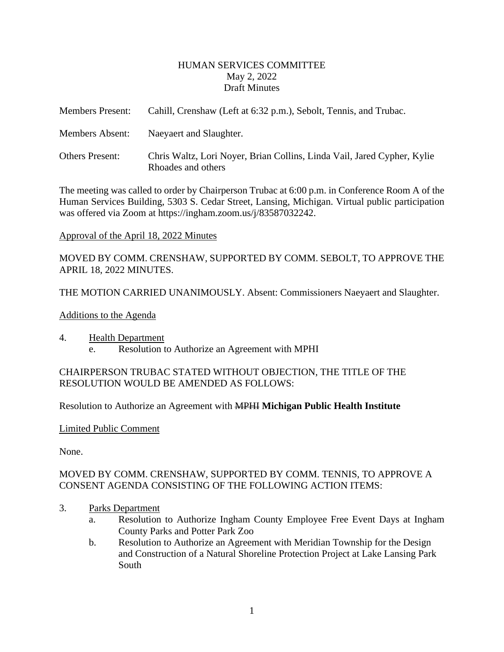#### HUMAN SERVICES COMMITTEE May 2, 2022 Draft Minutes

<span id="page-1-0"></span>

| <b>Members Present:</b> | Cahill, Crenshaw (Left at 6:32 p.m.), Sebolt, Tennis, and Trubac.                             |
|-------------------------|-----------------------------------------------------------------------------------------------|
| Members Absent:         | Naeyaert and Slaughter.                                                                       |
| <b>Others Present:</b>  | Chris Waltz, Lori Noyer, Brian Collins, Linda Vail, Jared Cypher, Kylie<br>Rhoades and others |

The meeting was called to order by Chairperson Trubac at 6:00 p.m. in Conference Room A of the Human Services Building, 5303 S. Cedar Street, Lansing, Michigan. Virtual public participation was offered via Zoom at https://ingham.zoom.us/j/83587032242.

#### Approval of the April 18, 2022 Minutes

MOVED BY COMM. CRENSHAW, SUPPORTED BY COMM. SEBOLT, TO APPROVE THE APRIL 18, 2022 MINUTES.

THE MOTION CARRIED UNANIMOUSLY. Absent: Commissioners Naeyaert and Slaughter.

#### Additions to the Agenda

4. Health Department e. Resolution to Authorize an Agreement with MPHI

#### CHAIRPERSON TRUBAC STATED WITHOUT OBJECTION, THE TITLE OF THE RESOLUTION WOULD BE AMENDED AS FOLLOWS:

Resolution to Authorize an Agreement with MPHI **Michigan Public Health Institute**

Limited Public Comment

None.

## MOVED BY COMM. CRENSHAW, SUPPORTED BY COMM. TENNIS, TO APPROVE A CONSENT AGENDA CONSISTING OF THE FOLLOWING ACTION ITEMS:

- 3. Parks Department
	- a. Resolution to Authorize Ingham County Employee Free Event Days at Ingham County Parks and Potter Park Zoo
	- b. Resolution to Authorize an Agreement with Meridian Township for the Design and Construction of a Natural Shoreline Protection Project at Lake Lansing Park South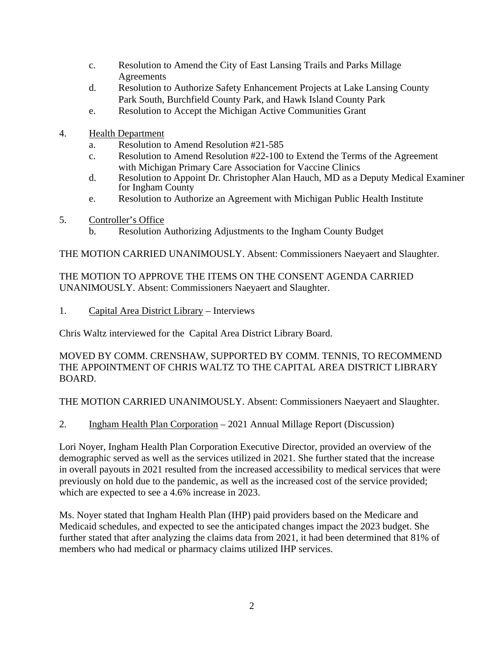- c. Resolution to Amend the City of East Lansing Trails and Parks Millage Agreements
- d. Resolution to Authorize Safety Enhancement Projects at Lake Lansing County Park South, Burchfield County Park, and Hawk Island County Park
- e. Resolution to Accept the Michigan Active Communities Grant
- 4. Health Department
	- a. Resolution to Amend Resolution #21-585
	- c. Resolution to Amend Resolution #22-100 to Extend the Terms of the Agreement with Michigan Primary Care Association for Vaccine Clinics
	- d. Resolution to Appoint Dr. Christopher Alan Hauch, MD as a Deputy Medical Examiner for Ingham County
	- e. Resolution to Authorize an Agreement with Michigan Public Health Institute
- 5. Controller's Office
	- b. Resolution Authorizing Adjustments to the Ingham County Budget

THE MOTION CARRIED UNANIMOUSLY. Absent: Commissioners Naeyaert and Slaughter.

THE MOTION TO APPROVE THE ITEMS ON THE CONSENT AGENDA CARRIED UNANIMOUSLY. Absent: Commissioners Naeyaert and Slaughter.

1. Capital Area District Library – Interviews

Chris Waltz interviewed for the Capital Area District Library Board.

MOVED BY COMM. CRENSHAW, SUPPORTED BY COMM. TENNIS, TO RECOMMEND THE APPOINTMENT OF CHRIS WALTZ TO THE CAPITAL AREA DISTRICT LIBRARY BOARD.

THE MOTION CARRIED UNANIMOUSLY. Absent: Commissioners Naeyaert and Slaughter.

2. Ingham Health Plan Corporation – 2021 Annual Millage Report (Discussion)

Lori Noyer, Ingham Health Plan Corporation Executive Director, provided an overview of the demographic served as well as the services utilized in 2021. She further stated that the increase in overall payouts in 2021 resulted from the increased accessibility to medical services that were previously on hold due to the pandemic, as well as the increased cost of the service provided; which are expected to see a 4.6% increase in 2023.

Ms. Noyer stated that Ingham Health Plan (IHP) paid providers based on the Medicare and Medicaid schedules, and expected to see the anticipated changes impact the 2023 budget. She further stated that after analyzing the claims data from 2021, it had been determined that 81% of members who had medical or pharmacy claims utilized IHP services.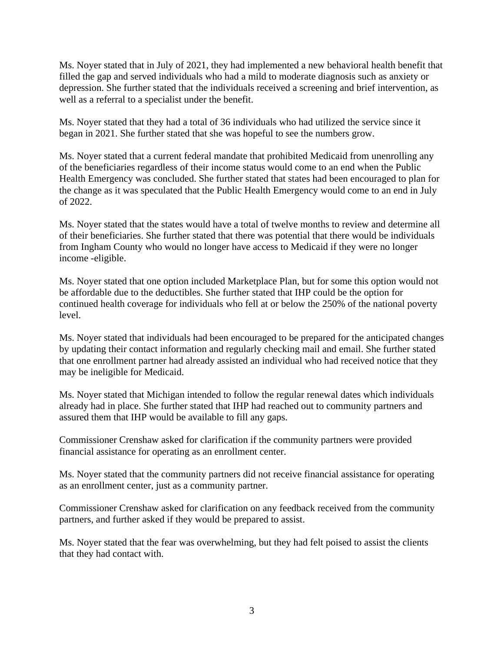Ms. Noyer stated that in July of 2021, they had implemented a new behavioral health benefit that filled the gap and served individuals who had a mild to moderate diagnosis such as anxiety or depression. She further stated that the individuals received a screening and brief intervention, as well as a referral to a specialist under the benefit.

Ms. Noyer stated that they had a total of 36 individuals who had utilized the service since it began in 2021. She further stated that she was hopeful to see the numbers grow.

Ms. Noyer stated that a current federal mandate that prohibited Medicaid from unenrolling any of the beneficiaries regardless of their income status would come to an end when the Public Health Emergency was concluded. She further stated that states had been encouraged to plan for the change as it was speculated that the Public Health Emergency would come to an end in July of 2022.

Ms. Noyer stated that the states would have a total of twelve months to review and determine all of their beneficiaries. She further stated that there was potential that there would be individuals from Ingham County who would no longer have access to Medicaid if they were no longer income -eligible.

Ms. Noyer stated that one option included Marketplace Plan, but for some this option would not be affordable due to the deductibles. She further stated that IHP could be the option for continued health coverage for individuals who fell at or below the 250% of the national poverty level.

Ms. Noyer stated that individuals had been encouraged to be prepared for the anticipated changes by updating their contact information and regularly checking mail and email. She further stated that one enrollment partner had already assisted an individual who had received notice that they may be ineligible for Medicaid.

Ms. Noyer stated that Michigan intended to follow the regular renewal dates which individuals already had in place. She further stated that IHP had reached out to community partners and assured them that IHP would be available to fill any gaps.

Commissioner Crenshaw asked for clarification if the community partners were provided financial assistance for operating as an enrollment center.

Ms. Noyer stated that the community partners did not receive financial assistance for operating as an enrollment center, just as a community partner.

Commissioner Crenshaw asked for clarification on any feedback received from the community partners, and further asked if they would be prepared to assist.

Ms. Noyer stated that the fear was overwhelming, but they had felt poised to assist the clients that they had contact with.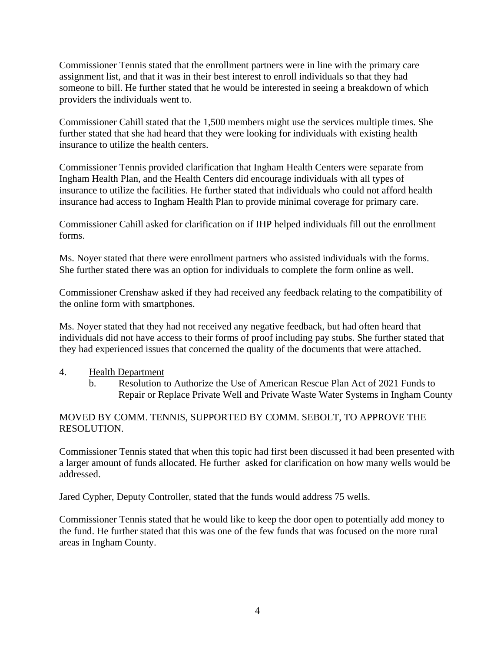Commissioner Tennis stated that the enrollment partners were in line with the primary care assignment list, and that it was in their best interest to enroll individuals so that they had someone to bill. He further stated that he would be interested in seeing a breakdown of which providers the individuals went to.

Commissioner Cahill stated that the 1,500 members might use the services multiple times. She further stated that she had heard that they were looking for individuals with existing health insurance to utilize the health centers.

Commissioner Tennis provided clarification that Ingham Health Centers were separate from Ingham Health Plan, and the Health Centers did encourage individuals with all types of insurance to utilize the facilities. He further stated that individuals who could not afford health insurance had access to Ingham Health Plan to provide minimal coverage for primary care.

Commissioner Cahill asked for clarification on if IHP helped individuals fill out the enrollment forms.

Ms. Noyer stated that there were enrollment partners who assisted individuals with the forms. She further stated there was an option for individuals to complete the form online as well.

Commissioner Crenshaw asked if they had received any feedback relating to the compatibility of the online form with smartphones.

Ms. Noyer stated that they had not received any negative feedback, but had often heard that individuals did not have access to their forms of proof including pay stubs. She further stated that they had experienced issues that concerned the quality of the documents that were attached.

#### 4. Health Department

b. Resolution to Authorize the Use of American Rescue Plan Act of 2021 Funds to Repair or Replace Private Well and Private Waste Water Systems in Ingham County

#### MOVED BY COMM. TENNIS, SUPPORTED BY COMM. SEBOLT, TO APPROVE THE RESOLUTION.

Commissioner Tennis stated that when this topic had first been discussed it had been presented with a larger amount of funds allocated. He further asked for clarification on how many wells would be addressed.

Jared Cypher, Deputy Controller, stated that the funds would address 75 wells.

Commissioner Tennis stated that he would like to keep the door open to potentially add money to the fund. He further stated that this was one of the few funds that was focused on the more rural areas in Ingham County.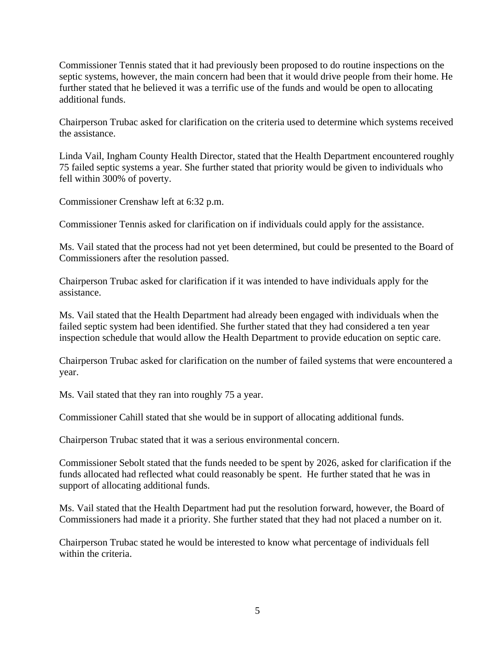Commissioner Tennis stated that it had previously been proposed to do routine inspections on the septic systems, however, the main concern had been that it would drive people from their home. He further stated that he believed it was a terrific use of the funds and would be open to allocating additional funds.

Chairperson Trubac asked for clarification on the criteria used to determine which systems received the assistance.

Linda Vail, Ingham County Health Director, stated that the Health Department encountered roughly 75 failed septic systems a year. She further stated that priority would be given to individuals who fell within 300% of poverty.

Commissioner Crenshaw left at 6:32 p.m.

Commissioner Tennis asked for clarification on if individuals could apply for the assistance.

Ms. Vail stated that the process had not yet been determined, but could be presented to the Board of Commissioners after the resolution passed.

Chairperson Trubac asked for clarification if it was intended to have individuals apply for the assistance.

Ms. Vail stated that the Health Department had already been engaged with individuals when the failed septic system had been identified. She further stated that they had considered a ten year inspection schedule that would allow the Health Department to provide education on septic care.

Chairperson Trubac asked for clarification on the number of failed systems that were encountered a year.

Ms. Vail stated that they ran into roughly 75 a year.

Commissioner Cahill stated that she would be in support of allocating additional funds.

Chairperson Trubac stated that it was a serious environmental concern.

Commissioner Sebolt stated that the funds needed to be spent by 2026, asked for clarification if the funds allocated had reflected what could reasonably be spent. He further stated that he was in support of allocating additional funds.

Ms. Vail stated that the Health Department had put the resolution forward, however, the Board of Commissioners had made it a priority. She further stated that they had not placed a number on it.

Chairperson Trubac stated he would be interested to know what percentage of individuals fell within the criteria.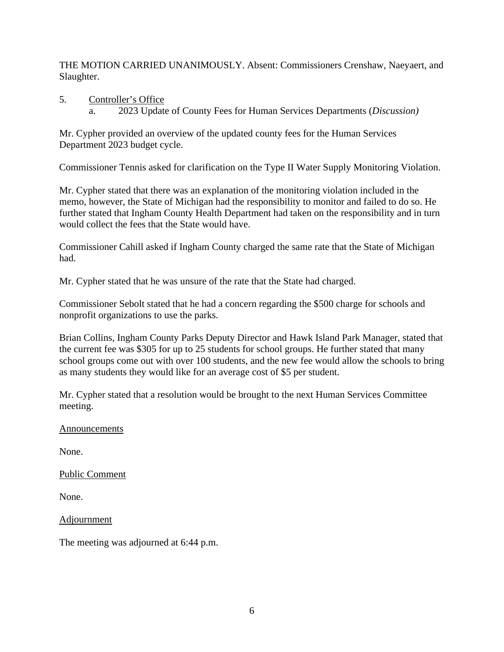THE MOTION CARRIED UNANIMOUSLY. Absent: Commissioners Crenshaw, Naeyaert, and Slaughter.

5. Controller's Office a. 2023 Update of County Fees for Human Services Departments (*Discussion)* 

Mr. Cypher provided an overview of the updated county fees for the Human Services Department 2023 budget cycle.

Commissioner Tennis asked for clarification on the Type II Water Supply Monitoring Violation.

Mr. Cypher stated that there was an explanation of the monitoring violation included in the memo, however, the State of Michigan had the responsibility to monitor and failed to do so. He further stated that Ingham County Health Department had taken on the responsibility and in turn would collect the fees that the State would have.

Commissioner Cahill asked if Ingham County charged the same rate that the State of Michigan had.

Mr. Cypher stated that he was unsure of the rate that the State had charged.

Commissioner Sebolt stated that he had a concern regarding the \$500 charge for schools and nonprofit organizations to use the parks.

Brian Collins, Ingham County Parks Deputy Director and Hawk Island Park Manager, stated that the current fee was \$305 for up to 25 students for school groups. He further stated that many school groups come out with over 100 students, and the new fee would allow the schools to bring as many students they would like for an average cost of \$5 per student.

Mr. Cypher stated that a resolution would be brought to the next Human Services Committee meeting.

Announcements

None.

Public Comment

None.

**Adjournment** 

The meeting was adjourned at 6:44 p.m.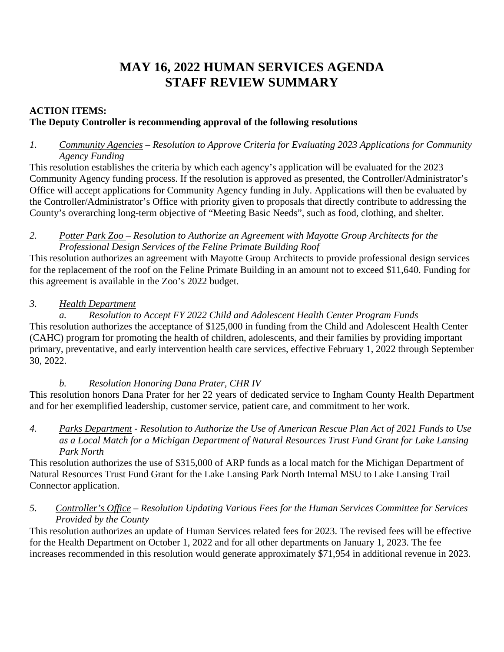# **MAY 16, 2022 HUMAN SERVICES AGENDA STAFF REVIEW SUMMARY**

# **ACTION ITEMS: The Deputy Controller is recommending approval of the following resolutions**

### *1. Community Agencies – Resolution to Approve Criteria for Evaluating 2023 Applications for Community Agency Funding*

This resolution establishes the criteria by which each agency's application will be evaluated for the 2023 Community Agency funding process. If the resolution is approved as presented, the Controller/Administrator's Office will accept applications for Community Agency funding in July. Applications will then be evaluated by the Controller/Administrator's Office with priority given to proposals that directly contribute to addressing the County's overarching long-term objective of "Meeting Basic Needs", such as food, clothing, and shelter.

#### *2. Potter Park Zoo – Resolution to Authorize an Agreement with Mayotte Group Architects for the Professional Design Services of the Feline Primate Building Roof*

This resolution authorizes an agreement with Mayotte Group Architects to provide professional design services for the replacement of the roof on the Feline Primate Building in an amount not to exceed \$11,640. Funding for this agreement is available in the Zoo's 2022 budget.

# *3. Health Department*

*a. Resolution to Accept FY 2022 Child and Adolescent Health Center Program Funds*  This resolution authorizes the acceptance of \$125,000 in funding from the Child and Adolescent Health Center (CAHC) program for promoting the health of children, adolescents, and their families by providing important primary, preventative, and early intervention health care services, effective February 1, 2022 through September 30, 2022.

# *b. Resolution Honoring Dana Prater, CHR IV*

This resolution honors Dana Prater for her 22 years of dedicated service to Ingham County Health Department and for her exemplified leadership, customer service, patient care, and commitment to her work.

*4. Parks Department - Resolution to Authorize the Use of American Rescue Plan Act of 2021 Funds to Use as a Local Match for a Michigan Department of Natural Resources Trust Fund Grant for Lake Lansing Park North* 

This resolution authorizes the use of \$315,000 of ARP funds as a local match for the Michigan Department of Natural Resources Trust Fund Grant for the Lake Lansing Park North Internal MSU to Lake Lansing Trail Connector application.

## *5. Controller's Office – Resolution Updating Various Fees for the Human Services Committee for Services Provided by the County*

This resolution authorizes an update of Human Services related fees for 2023. The revised fees will be effective for the Health Department on October 1, 2022 and for all other departments on January 1, 2023. The fee increases recommended in this resolution would generate approximately \$71,954 in additional revenue in 2023.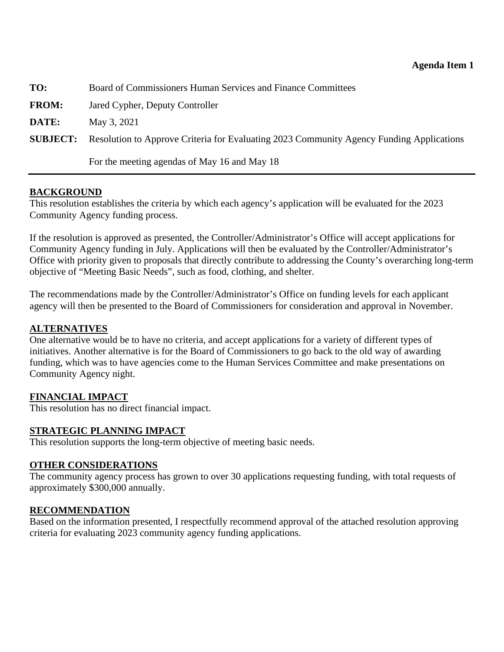<span id="page-8-0"></span>

| TO:             | Board of Commissioners Human Services and Finance Committees                             |
|-----------------|------------------------------------------------------------------------------------------|
| <b>FROM:</b>    | Jared Cypher, Deputy Controller                                                          |
| DATE:           | May 3, 2021                                                                              |
| <b>SUBJECT:</b> | Resolution to Approve Criteria for Evaluating 2023 Community Agency Funding Applications |
|                 | For the meeting agendas of May 16 and May 18                                             |

#### **BACKGROUND**

This resolution establishes the criteria by which each agency's application will be evaluated for the 2023 Community Agency funding process.

If the resolution is approved as presented, the Controller/Administrator's Office will accept applications for Community Agency funding in July. Applications will then be evaluated by the Controller/Administrator's Office with priority given to proposals that directly contribute to addressing the County's overarching long-term objective of "Meeting Basic Needs", such as food, clothing, and shelter.

The recommendations made by the Controller/Administrator's Office on funding levels for each applicant agency will then be presented to the Board of Commissioners for consideration and approval in November.

#### **ALTERNATIVES**

One alternative would be to have no criteria, and accept applications for a variety of different types of initiatives. Another alternative is for the Board of Commissioners to go back to the old way of awarding funding, which was to have agencies come to the Human Services Committee and make presentations on Community Agency night.

#### **FINANCIAL IMPACT**

This resolution has no direct financial impact.

#### **STRATEGIC PLANNING IMPACT**

This resolution supports the long-term objective of meeting basic needs.

#### **OTHER CONSIDERATIONS**

The community agency process has grown to over 30 applications requesting funding, with total requests of approximately \$300,000 annually.

#### **RECOMMENDATION**

Based on the information presented, I respectfully recommend approval of the attached resolution approving criteria for evaluating 2023 community agency funding applications.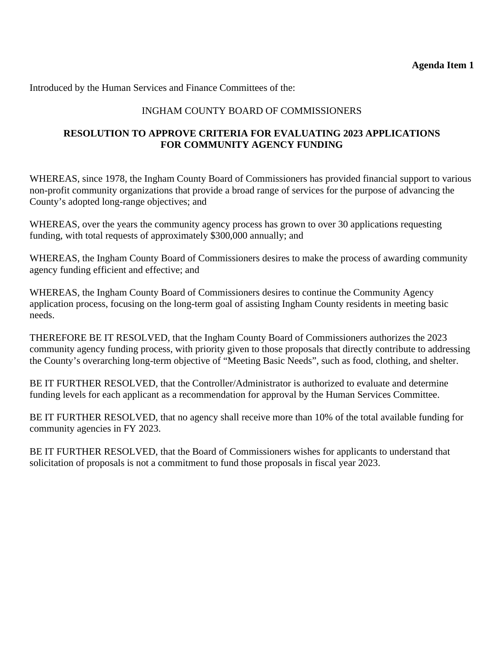# INGHAM COUNTY BOARD OF COMMISSIONERS

## **RESOLUTION TO APPROVE CRITERIA FOR EVALUATING 2023 APPLICATIONS FOR COMMUNITY AGENCY FUNDING**

WHEREAS, since 1978, the Ingham County Board of Commissioners has provided financial support to various non-profit community organizations that provide a broad range of services for the purpose of advancing the County's adopted long-range objectives; and

WHEREAS, over the years the community agency process has grown to over 30 applications requesting funding, with total requests of approximately \$300,000 annually; and

WHEREAS, the Ingham County Board of Commissioners desires to make the process of awarding community agency funding efficient and effective; and

WHEREAS, the Ingham County Board of Commissioners desires to continue the Community Agency application process, focusing on the long-term goal of assisting Ingham County residents in meeting basic needs.

THEREFORE BE IT RESOLVED, that the Ingham County Board of Commissioners authorizes the 2023 community agency funding process, with priority given to those proposals that directly contribute to addressing the County's overarching long-term objective of "Meeting Basic Needs", such as food, clothing, and shelter.

BE IT FURTHER RESOLVED, that the Controller/Administrator is authorized to evaluate and determine funding levels for each applicant as a recommendation for approval by the Human Services Committee.

BE IT FURTHER RESOLVED, that no agency shall receive more than 10% of the total available funding for community agencies in FY 2023.

BE IT FURTHER RESOLVED, that the Board of Commissioners wishes for applicants to understand that solicitation of proposals is not a commitment to fund those proposals in fiscal year 2023.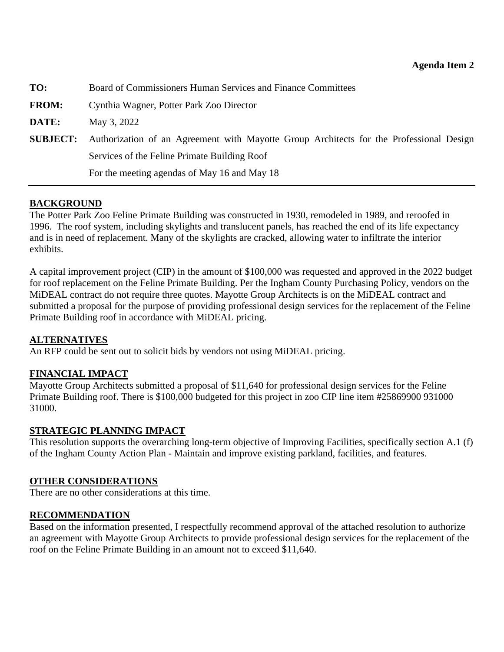<span id="page-10-0"></span>

| TO:             | Board of Commissioners Human Services and Finance Committees                            |
|-----------------|-----------------------------------------------------------------------------------------|
| <b>FROM:</b>    | Cynthia Wagner, Potter Park Zoo Director                                                |
| DATE:           | May 3, 2022                                                                             |
| <b>SUBJECT:</b> | Authorization of an Agreement with Mayotte Group Architects for the Professional Design |
|                 | Services of the Feline Primate Building Roof                                            |
|                 | For the meeting agendas of May 16 and May 18                                            |

#### **BACKGROUND**

The Potter Park Zoo Feline Primate Building was constructed in 1930, remodeled in 1989, and reroofed in 1996. The roof system, including skylights and translucent panels, has reached the end of its life expectancy and is in need of replacement. Many of the skylights are cracked, allowing water to infiltrate the interior exhibits.

A capital improvement project (CIP) in the amount of \$100,000 was requested and approved in the 2022 budget for roof replacement on the Feline Primate Building. Per the Ingham County Purchasing Policy, vendors on the MiDEAL contract do not require three quotes. Mayotte Group Architects is on the MiDEAL contract and submitted a proposal for the purpose of providing professional design services for the replacement of the Feline Primate Building roof in accordance with MiDEAL pricing.

#### **ALTERNATIVES**

An RFP could be sent out to solicit bids by vendors not using MiDEAL pricing.

#### **FINANCIAL IMPACT**

Mayotte Group Architects submitted a proposal of \$11,640 for professional design services for the Feline Primate Building roof. There is \$100,000 budgeted for this project in zoo CIP line item #25869900 931000 31000.

#### **STRATEGIC PLANNING IMPACT**

This resolution supports the overarching long-term objective of Improving Facilities, specifically section A.1 (f) of the Ingham County Action Plan - Maintain and improve existing parkland, facilities, and features.

#### **OTHER CONSIDERATIONS**

There are no other considerations at this time.

#### **RECOMMENDATION**

Based on the information presented, I respectfully recommend approval of the attached resolution to authorize an agreement with Mayotte Group Architects to provide professional design services for the replacement of the roof on the Feline Primate Building in an amount not to exceed \$11,640.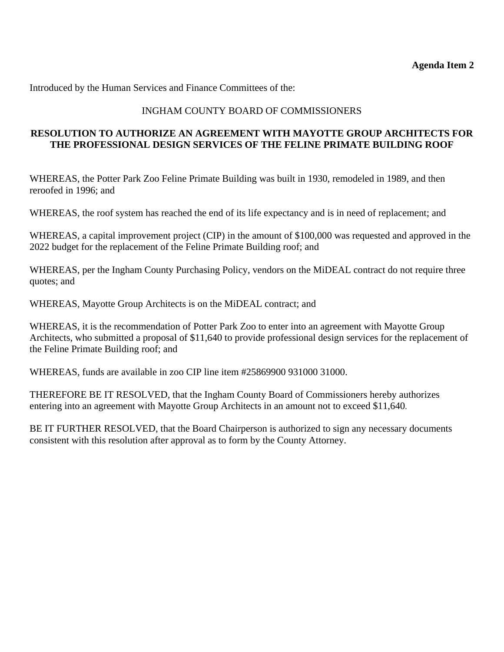## INGHAM COUNTY BOARD OF COMMISSIONERS

#### **RESOLUTION TO AUTHORIZE AN AGREEMENT WITH MAYOTTE GROUP ARCHITECTS FOR THE PROFESSIONAL DESIGN SERVICES OF THE FELINE PRIMATE BUILDING ROOF**

WHEREAS, the Potter Park Zoo Feline Primate Building was built in 1930, remodeled in 1989, and then reroofed in 1996; and

WHEREAS, the roof system has reached the end of its life expectancy and is in need of replacement; and

WHEREAS, a capital improvement project (CIP) in the amount of \$100,000 was requested and approved in the 2022 budget for the replacement of the Feline Primate Building roof; and

WHEREAS, per the Ingham County Purchasing Policy, vendors on the MiDEAL contract do not require three quotes; and

WHEREAS, Mayotte Group Architects is on the MiDEAL contract; and

WHEREAS, it is the recommendation of Potter Park Zoo to enter into an agreement with Mayotte Group Architects, who submitted a proposal of \$11,640 to provide professional design services for the replacement of the Feline Primate Building roof; and

WHEREAS, funds are available in zoo CIP line item #25869900 931000 31000.

THEREFORE BE IT RESOLVED, that the Ingham County Board of Commissioners hereby authorizes entering into an agreement with Mayotte Group Architects in an amount not to exceed \$11,640.

BE IT FURTHER RESOLVED, that the Board Chairperson is authorized to sign any necessary documents consistent with this resolution after approval as to form by the County Attorney.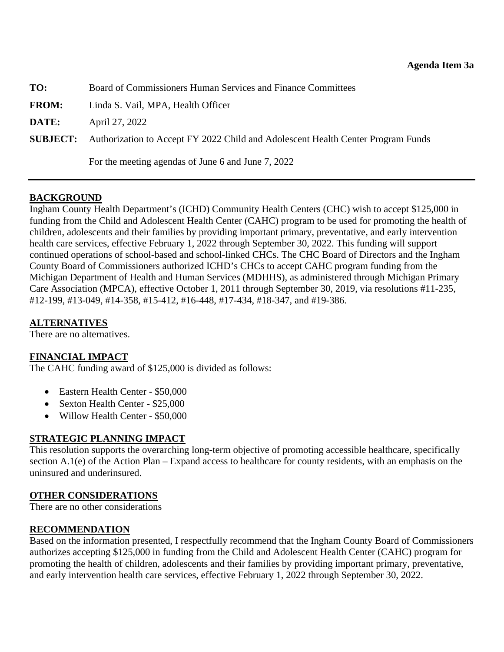<span id="page-12-0"></span>**TO:** Board of Commissioners Human Services and Finance Committees

**FROM:** Linda S. Vail, MPA, Health Officer

**DATE:** April 27, 2022

**SUBJECT:** Authorization to Accept FY 2022 Child and Adolescent Health Center Program Funds

For the meeting agendas of June 6 and June 7, 2022

#### **BACKGROUND**

Ingham County Health Department's (ICHD) Community Health Centers (CHC) wish to accept \$125,000 in funding from the Child and Adolescent Health Center (CAHC) program to be used for promoting the health of children, adolescents and their families by providing important primary, preventative, and early intervention health care services, effective February 1, 2022 through September 30, 2022. This funding will support continued operations of school-based and school-linked CHCs. The CHC Board of Directors and the Ingham County Board of Commissioners authorized ICHD's CHCs to accept CAHC program funding from the Michigan Department of Health and Human Services (MDHHS), as administered through Michigan Primary Care Association (MPCA), effective October 1, 2011 through September 30, 2019, via resolutions #11-235, #12-199, #13-049, #14-358, #15-412, #16-448, #17-434, #18-347, and #19-386.

#### **ALTERNATIVES**

There are no alternatives.

#### **FINANCIAL IMPACT**

The CAHC funding award of \$125,000 is divided as follows:

- Eastern Health Center \$50,000
- Sexton Health Center \$25,000
- Willow Health Center \$50,000

#### **STRATEGIC PLANNING IMPACT**

This resolution supports the overarching long-term objective of promoting accessible healthcare, specifically section A.1(e) of the Action Plan – Expand access to healthcare for county residents, with an emphasis on the uninsured and underinsured.

#### **OTHER CONSIDERATIONS**

There are no other considerations

#### **RECOMMENDATION**

Based on the information presented, I respectfully recommend that the Ingham County Board of Commissioners authorizes accepting \$125,000 in funding from the Child and Adolescent Health Center (CAHC) program for promoting the health of children, adolescents and their families by providing important primary, preventative, and early intervention health care services, effective February 1, 2022 through September 30, 2022.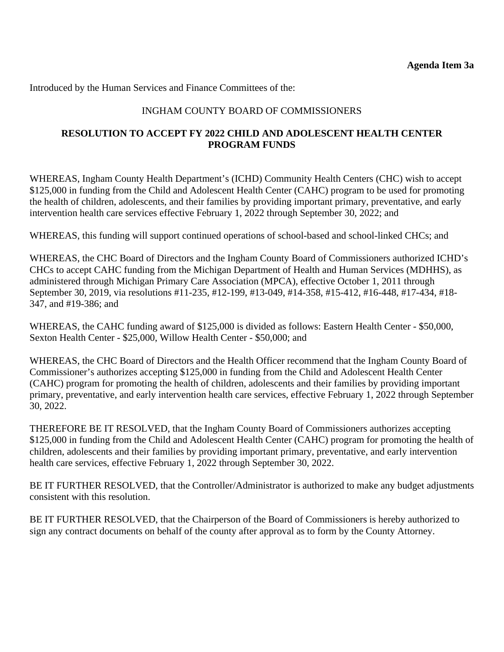## INGHAM COUNTY BOARD OF COMMISSIONERS

#### **RESOLUTION TO ACCEPT FY 2022 CHILD AND ADOLESCENT HEALTH CENTER PROGRAM FUNDS**

WHEREAS, Ingham County Health Department's (ICHD) Community Health Centers (CHC) wish to accept \$125,000 in funding from the Child and Adolescent Health Center (CAHC) program to be used for promoting the health of children, adolescents, and their families by providing important primary, preventative, and early intervention health care services effective February 1, 2022 through September 30, 2022; and

WHEREAS, this funding will support continued operations of school-based and school-linked CHCs; and

WHEREAS, the CHC Board of Directors and the Ingham County Board of Commissioners authorized ICHD's CHCs to accept CAHC funding from the Michigan Department of Health and Human Services (MDHHS), as administered through Michigan Primary Care Association (MPCA), effective October 1, 2011 through September 30, 2019, via resolutions #11-235, #12-199, #13-049, #14-358, #15-412, #16-448, #17-434, #18- 347, and #19-386; and

WHEREAS, the CAHC funding award of \$125,000 is divided as follows: Eastern Health Center - \$50,000, Sexton Health Center - \$25,000, Willow Health Center - \$50,000; and

WHEREAS, the CHC Board of Directors and the Health Officer recommend that the Ingham County Board of Commissioner's authorizes accepting \$125,000 in funding from the Child and Adolescent Health Center (CAHC) program for promoting the health of children, adolescents and their families by providing important primary, preventative, and early intervention health care services, effective February 1, 2022 through September 30, 2022.

THEREFORE BE IT RESOLVED, that the Ingham County Board of Commissioners authorizes accepting \$125,000 in funding from the Child and Adolescent Health Center (CAHC) program for promoting the health of children, adolescents and their families by providing important primary, preventative, and early intervention health care services, effective February 1, 2022 through September 30, 2022.

BE IT FURTHER RESOLVED, that the Controller/Administrator is authorized to make any budget adjustments consistent with this resolution.

BE IT FURTHER RESOLVED, that the Chairperson of the Board of Commissioners is hereby authorized to sign any contract documents on behalf of the county after approval as to form by the County Attorney.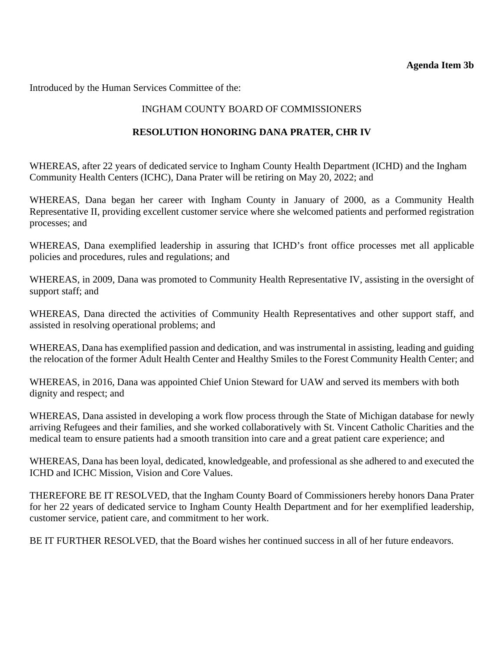<span id="page-14-0"></span>Introduced by the Human Services Committee of the:

## INGHAM COUNTY BOARD OF COMMISSIONERS

### **RESOLUTION HONORING DANA PRATER, CHR IV**

WHEREAS, after 22 years of dedicated service to Ingham County Health Department (ICHD) and the Ingham Community Health Centers (ICHC), Dana Prater will be retiring on May 20, 2022; and

WHEREAS, Dana began her career with Ingham County in January of 2000, as a Community Health Representative II, providing excellent customer service where she welcomed patients and performed registration processes; and

WHEREAS, Dana exemplified leadership in assuring that ICHD's front office processes met all applicable policies and procedures, rules and regulations; and

WHEREAS, in 2009, Dana was promoted to Community Health Representative IV, assisting in the oversight of support staff; and

WHEREAS, Dana directed the activities of Community Health Representatives and other support staff, and assisted in resolving operational problems; and

WHEREAS, Dana has exemplified passion and dedication, and was instrumental in assisting, leading and guiding the relocation of the former Adult Health Center and Healthy Smiles to the Forest Community Health Center; and

WHEREAS, in 2016, Dana was appointed Chief Union Steward for UAW and served its members with both dignity and respect; and

WHEREAS, Dana assisted in developing a work flow process through the State of Michigan database for newly arriving Refugees and their families, and she worked collaboratively with St. Vincent Catholic Charities and the medical team to ensure patients had a smooth transition into care and a great patient care experience; and

WHEREAS, Dana has been loyal, dedicated, knowledgeable, and professional as she adhered to and executed the ICHD and ICHC Mission, Vision and Core Values.

THEREFORE BE IT RESOLVED, that the Ingham County Board of Commissioners hereby honors Dana Prater for her 22 years of dedicated service to Ingham County Health Department and for her exemplified leadership, customer service, patient care, and commitment to her work.

BE IT FURTHER RESOLVED, that the Board wishes her continued success in all of her future endeavors.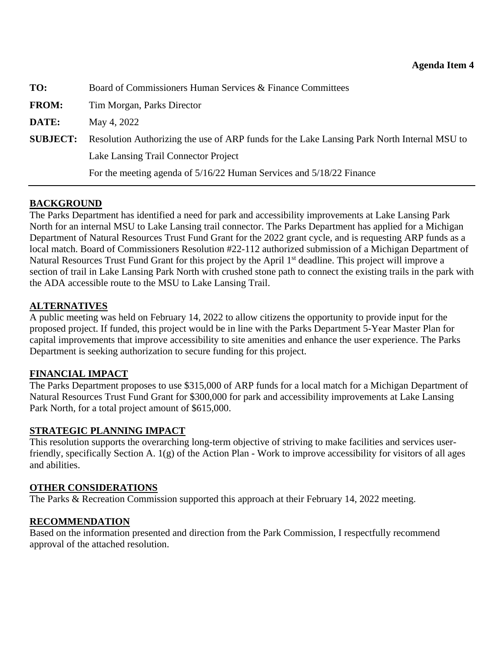<span id="page-15-0"></span>

| TO:             | Board of Commissioners Human Services & Finance Committees                                  |
|-----------------|---------------------------------------------------------------------------------------------|
| <b>FROM:</b>    | Tim Morgan, Parks Director                                                                  |
| DATE:           | May 4, 2022                                                                                 |
| <b>SUBJECT:</b> | Resolution Authorizing the use of ARP funds for the Lake Lansing Park North Internal MSU to |
|                 | Lake Lansing Trail Connector Project                                                        |
|                 | For the meeting agenda of 5/16/22 Human Services and 5/18/22 Finance                        |

## **BACKGROUND**

The Parks Department has identified a need for park and accessibility improvements at Lake Lansing Park North for an internal MSU to Lake Lansing trail connector. The Parks Department has applied for a Michigan Department of Natural Resources Trust Fund Grant for the 2022 grant cycle, and is requesting ARP funds as a local match. Board of Commissioners Resolution #22-112 authorized submission of a Michigan Department of Natural Resources Trust Fund Grant for this project by the April 1<sup>st</sup> deadline. This project will improve a section of trail in Lake Lansing Park North with crushed stone path to connect the existing trails in the park with the ADA accessible route to the MSU to Lake Lansing Trail.

#### **ALTERNATIVES**

A public meeting was held on February 14, 2022 to allow citizens the opportunity to provide input for the proposed project. If funded, this project would be in line with the Parks Department 5-Year Master Plan for capital improvements that improve accessibility to site amenities and enhance the user experience. The Parks Department is seeking authorization to secure funding for this project.

#### **FINANCIAL IMPACT**

The Parks Department proposes to use \$315,000 of ARP funds for a local match for a Michigan Department of Natural Resources Trust Fund Grant for \$300,000 for park and accessibility improvements at Lake Lansing Park North, for a total project amount of \$615,000.

# **STRATEGIC PLANNING IMPACT**

This resolution supports the overarching long-term objective of striving to make facilities and services userfriendly, specifically Section A. 1(g) of the Action Plan - Work to improve accessibility for visitors of all ages and abilities.

#### **OTHER CONSIDERATIONS**

The Parks & Recreation Commission supported this approach at their February 14, 2022 meeting.

#### **RECOMMENDATION**

Based on the information presented and direction from the Park Commission, I respectfully recommend approval of the attached resolution.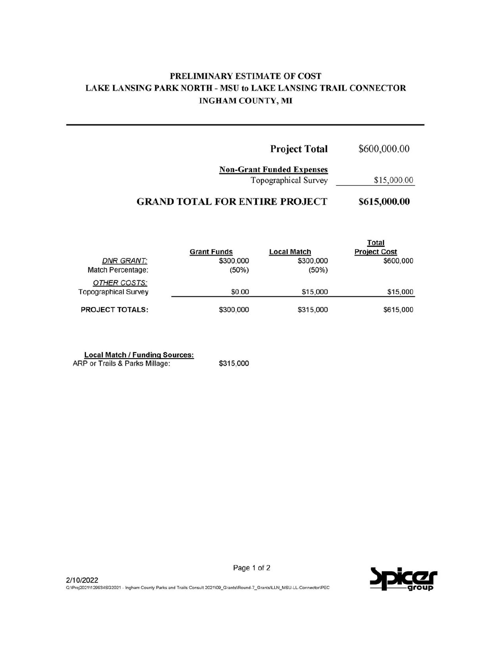## PRELIMINARY ESTIMATE OF COST LAKE LANSING PARK NORTH - MSU to LAKE LANSING TRAIL CONNECTOR **INGHAM COUNTY, MI**

| \$600,000.00 | <b>Project Total</b>                                     |
|--------------|----------------------------------------------------------|
| \$15,000.00  | <b>Non-Grant Funded Expenses</b><br>Topographical Survey |
| \$615,000.00 | <b>GRAND TOTAL FOR ENTIRE PROJECT</b>                    |
| Total        |                                                          |

|                             | <b>Grant Funds</b> | <b>Local Match</b> | <b>Project Cost</b> |
|-----------------------------|--------------------|--------------------|---------------------|
| <b>DNR GRANT:</b>           | \$300,000          | \$300,000          | \$600,000           |
| Match Percentage:           | (50%)              | $(50\%)$           |                     |
| OTHER COSTS:                |                    |                    |                     |
| <b>Topographical Survey</b> | \$0.00             | \$15,000           | \$15,000            |
| <b>PROJECT TOTALS:</b>      | \$300,000          | \$315,000          | \$615,000           |

Local Match / Funding Sources:<br>ARP or Trails & Parks Millage:

\$315,000



Page 1 of 2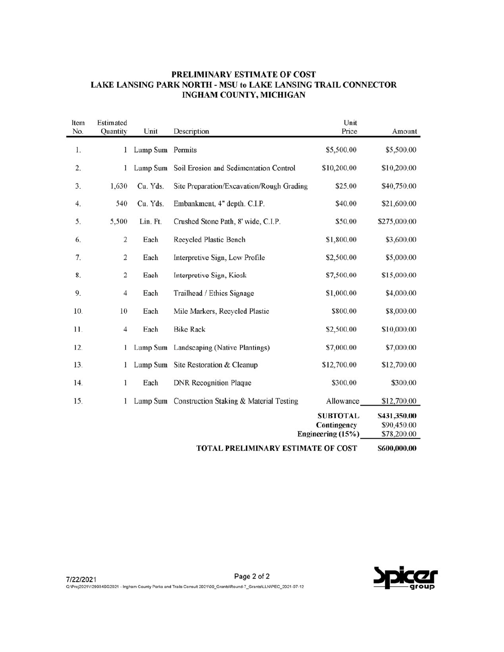#### PRELIMINARY ESTIMATE OF COST LAKE LANSING PARK NORTH - MSU to LAKE LANSING TRAIL CONNECTOR INGHAM COUNTY, MICHIGAN

| Item<br>No. | Estimated<br>Quantity | Unit             | Description                                      | Unit<br>Price                    | Amount                     |
|-------------|-----------------------|------------------|--------------------------------------------------|----------------------------------|----------------------------|
|             |                       |                  |                                                  |                                  |                            |
| 1.          | 1                     | Lump Sum Permits |                                                  | \$5,500.00                       | \$5,500.00                 |
| 2.          | 1                     | Lump Sum         | Soil Erosion and Sedimentation Control           | \$10,200.00                      | \$10,200.00                |
| 3.          | 1,630                 | Cu. Yds.         | Site Preparation/Excavation/Rough Grading        | \$25.00                          | \$40,750.00                |
| 4.          | 540                   | Cu. Yds.         | Embankment, 4" depth. C.I.P.                     | \$40.00                          | \$21,600.00                |
| 5.          | 5,500                 | Lin. Ft.         | Crushed Stone Path, 8' wide, C.I.P.              | \$50.00                          | \$275,000.00               |
| 6.          | $\sqrt{2}$            | Each             | Recycled Plastic Bench                           | \$1,800.00                       | \$3,600.00                 |
| 7.          | $\overline{c}$        | Each             | Interpretive Sign, Low Profile                   | \$2,500.00                       | \$5,000.00                 |
| 8.          | $\overline{c}$        | Each             | Interpretive Sign, Kiosk                         | \$7,500.00                       | \$15,000.00                |
| 9.          | 4                     | Each             | Trailhead / Ethics Signage                       | \$1,000.00                       | \$4,000.00                 |
| 10.         | 10                    | Each             | Mile Markers, Recycled Plastic                   | \$800.00                         | \$8,000.00                 |
| 11.         | 4                     | Each             | <b>Bike Rack</b>                                 | \$2,500.00                       | \$10,000.00                |
| 12.         | 1                     |                  | Lump Sum Landscaping (Native Plantings)          | \$7,000.00                       | \$7,000.00                 |
| 13.         | 1                     |                  | Lump Sum Site Restoration & Cleanup              | \$12,700.00                      | \$12,700.00                |
| 14.         | 1                     | Each             | <b>DNR Recognition Plaque</b>                    | \$300.00                         | \$300.00                   |
| 15.         |                       |                  | Lump Sum Construction Staking & Material Testing | Allowance                        | \$12,700.00                |
|             |                       |                  |                                                  | <b>SUBTOTAL</b>                  | S431,350.00                |
|             |                       |                  |                                                  | Contingency<br>Engineering (15%) | \$90,450.00<br>\$78,200.00 |
|             |                       |                  |                                                  |                                  |                            |
|             |                       |                  | TOTAL PRELIMINARY ESTIMATE OF COST               |                                  | \$600,000.00               |

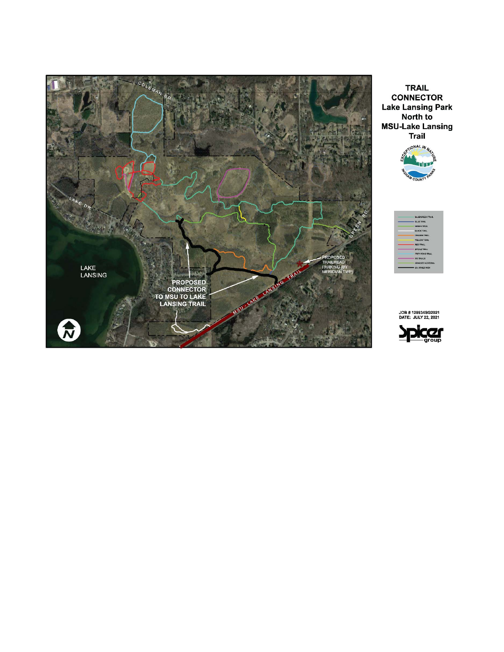

**TRAIL CONNECTOR Lake Lansing Park** North to **MSU-Lake Lansing Trail** 





JOB # 129934SG2021<br>DATE: JULY 22, 2021

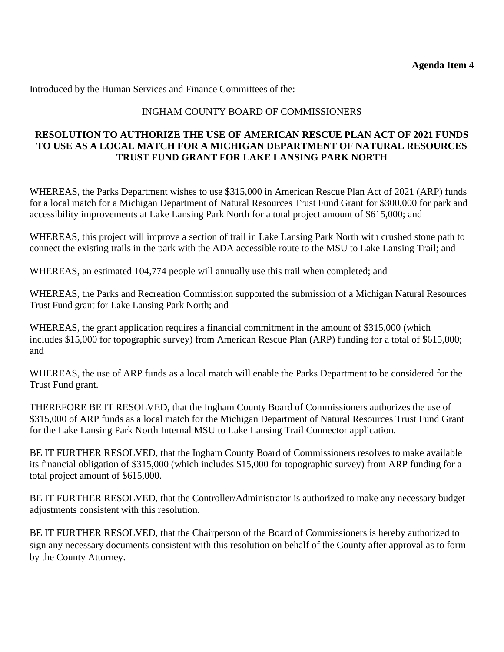#### INGHAM COUNTY BOARD OF COMMISSIONERS

#### **RESOLUTION TO AUTHORIZE THE USE OF AMERICAN RESCUE PLAN ACT OF 2021 FUNDS TO USE AS A LOCAL MATCH FOR A MICHIGAN DEPARTMENT OF NATURAL RESOURCES TRUST FUND GRANT FOR LAKE LANSING PARK NORTH**

WHEREAS, the Parks Department wishes to use \$315,000 in American Rescue Plan Act of 2021 (ARP) funds for a local match for a Michigan Department of Natural Resources Trust Fund Grant for \$300,000 for park and accessibility improvements at Lake Lansing Park North for a total project amount of \$615,000; and

WHEREAS, this project will improve a section of trail in Lake Lansing Park North with crushed stone path to connect the existing trails in the park with the ADA accessible route to the MSU to Lake Lansing Trail; and

WHEREAS, an estimated 104,774 people will annually use this trail when completed; and

WHEREAS, the Parks and Recreation Commission supported the submission of a Michigan Natural Resources Trust Fund grant for Lake Lansing Park North; and

WHEREAS, the grant application requires a financial commitment in the amount of \$315,000 (which includes \$15,000 for topographic survey) from American Rescue Plan (ARP) funding for a total of \$615,000; and

WHEREAS, the use of ARP funds as a local match will enable the Parks Department to be considered for the Trust Fund grant.

THEREFORE BE IT RESOLVED, that the Ingham County Board of Commissioners authorizes the use of \$315,000 of ARP funds as a local match for the Michigan Department of Natural Resources Trust Fund Grant for the Lake Lansing Park North Internal MSU to Lake Lansing Trail Connector application.

BE IT FURTHER RESOLVED, that the Ingham County Board of Commissioners resolves to make available its financial obligation of \$315,000 (which includes \$15,000 for topographic survey) from ARP funding for a total project amount of \$615,000.

BE IT FURTHER RESOLVED, that the Controller/Administrator is authorized to make any necessary budget adjustments consistent with this resolution.

BE IT FURTHER RESOLVED, that the Chairperson of the Board of Commissioners is hereby authorized to sign any necessary documents consistent with this resolution on behalf of the County after approval as to form by the County Attorney.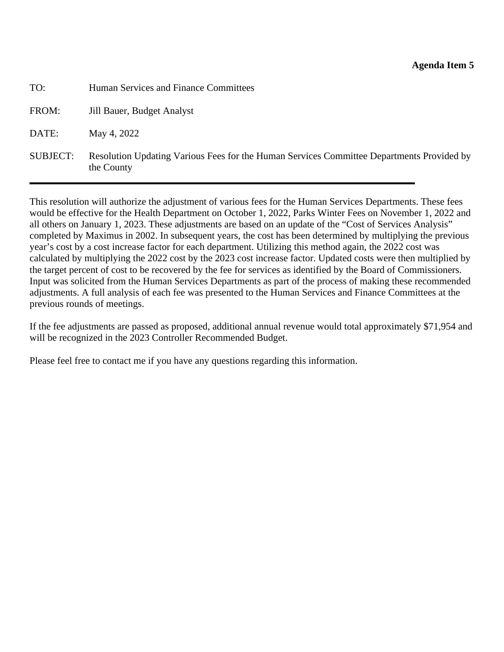<span id="page-20-0"></span>

| TO:             | Human Services and Finance Committees                                                                   |
|-----------------|---------------------------------------------------------------------------------------------------------|
| FROM:           | Jill Bauer, Budget Analyst                                                                              |
| DATE:           | May 4, 2022                                                                                             |
| <b>SUBJECT:</b> | Resolution Updating Various Fees for the Human Services Committee Departments Provided by<br>the County |

This resolution will authorize the adjustment of various fees for the Human Services Departments. These fees would be effective for the Health Department on October 1, 2022, Parks Winter Fees on November 1, 2022 and all others on January 1, 2023. These adjustments are based on an update of the "Cost of Services Analysis" completed by Maximus in 2002. In subsequent years, the cost has been determined by multiplying the previous year's cost by a cost increase factor for each department. Utilizing this method again, the 2022 cost was calculated by multiplying the 2022 cost by the 2023 cost increase factor. Updated costs were then multiplied by the target percent of cost to be recovered by the fee for services as identified by the Board of Commissioners. Input was solicited from the Human Services Departments as part of the process of making these recommended adjustments. A full analysis of each fee was presented to the Human Services and Finance Committees at the previous rounds of meetings.

If the fee adjustments are passed as proposed, additional annual revenue would total approximately \$71,954 and will be recognized in the 2023 Controller Recommended Budget.

Please feel free to contact me if you have any questions regarding this information.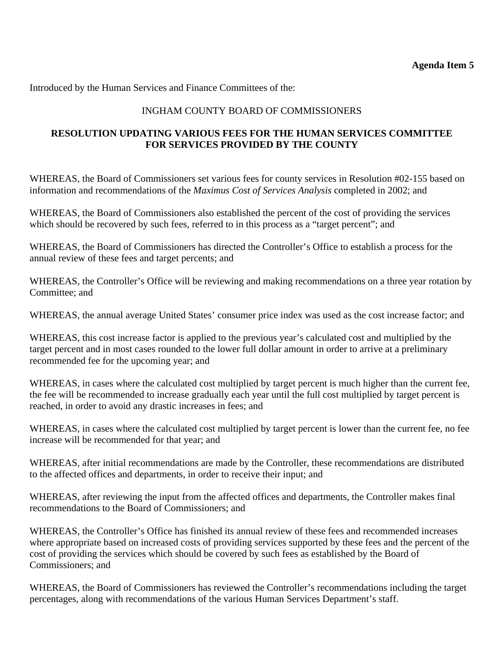# INGHAM COUNTY BOARD OF COMMISSIONERS

## **RESOLUTION UPDATING VARIOUS FEES FOR THE HUMAN SERVICES COMMITTEE FOR SERVICES PROVIDED BY THE COUNTY**

WHEREAS, the Board of Commissioners set various fees for county services in Resolution #02-155 based on information and recommendations of the *Maximus Cost of Services Analysis* completed in 2002; and

WHEREAS, the Board of Commissioners also established the percent of the cost of providing the services which should be recovered by such fees, referred to in this process as a "target percent"; and

WHEREAS, the Board of Commissioners has directed the Controller's Office to establish a process for the annual review of these fees and target percents; and

WHEREAS, the Controller's Office will be reviewing and making recommendations on a three year rotation by Committee; and

WHEREAS, the annual average United States' consumer price index was used as the cost increase factor; and

WHEREAS, this cost increase factor is applied to the previous year's calculated cost and multiplied by the target percent and in most cases rounded to the lower full dollar amount in order to arrive at a preliminary recommended fee for the upcoming year; and

WHEREAS, in cases where the calculated cost multiplied by target percent is much higher than the current fee, the fee will be recommended to increase gradually each year until the full cost multiplied by target percent is reached, in order to avoid any drastic increases in fees; and

WHEREAS, in cases where the calculated cost multiplied by target percent is lower than the current fee, no fee increase will be recommended for that year; and

WHEREAS, after initial recommendations are made by the Controller, these recommendations are distributed to the affected offices and departments, in order to receive their input; and

WHEREAS, after reviewing the input from the affected offices and departments, the Controller makes final recommendations to the Board of Commissioners; and

WHEREAS, the Controller's Office has finished its annual review of these fees and recommended increases where appropriate based on increased costs of providing services supported by these fees and the percent of the cost of providing the services which should be covered by such fees as established by the Board of Commissioners; and

WHEREAS, the Board of Commissioners has reviewed the Controller's recommendations including the target percentages, along with recommendations of the various Human Services Department's staff.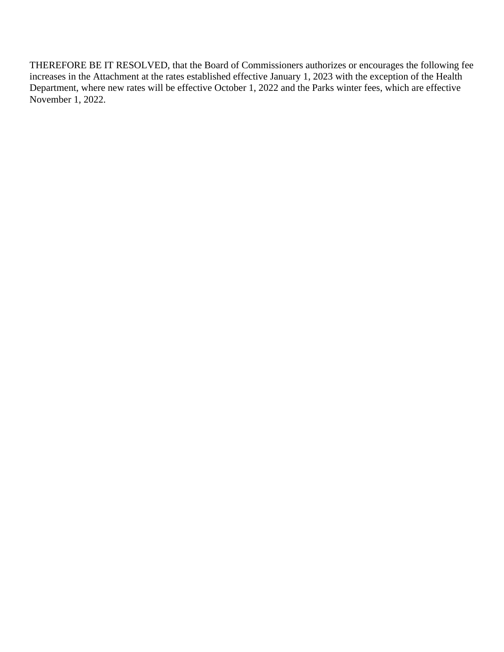THEREFORE BE IT RESOLVED, that the Board of Commissioners authorizes or encourages the following fee increases in the Attachment at the rates established effective January 1, 2023 with the exception of the Health Department, where new rates will be effective October 1, 2022 and the Parks winter fees, which are effective November 1, 2022.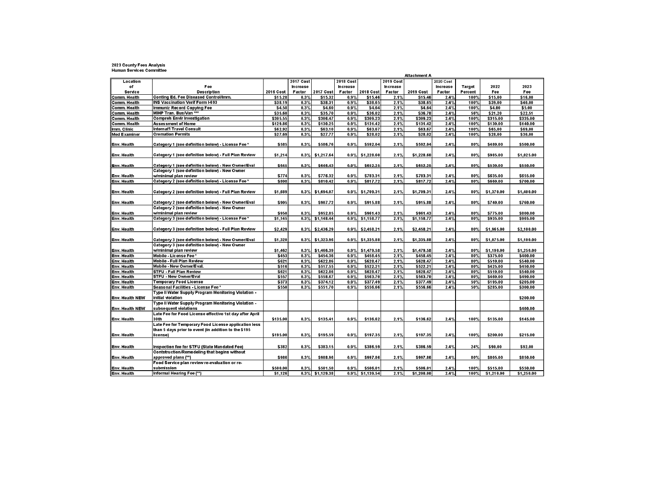# 2023 County Fees Analysis<br>Human Services Committee

|                     |                                                                                                     |              |           |                    |                 |                    |                 | Attachment A |           |         |            |            |
|---------------------|-----------------------------------------------------------------------------------------------------|--------------|-----------|--------------------|-----------------|--------------------|-----------------|--------------|-----------|---------|------------|------------|
| Location            |                                                                                                     |              | 2017 Cost |                    | 2018 Cost       |                    | 2019 Cost       |              | 2020 Cost |         |            |            |
| of                  | Fee                                                                                                 |              | Increase  |                    | <b>Increase</b> |                    | <b>Increase</b> |              | Increase  | Target  | 2022       | 2023       |
| Service             | <b>Description</b>                                                                                  | 2016 Cost    | Factor    | 2017 Cost          | Factor          | 2018 Cost          | Factor          | 2019 Cost    | Factor    | Percent | Fee        | Fee        |
| Comm. Health        | Conting Ed. Fee Diseased Control/Imm.                                                               | \$15.28      | 0.3%      | \$15.32            | 0.9%            | \$15.46            | 2.1%            | \$15.46      | 2.4%      | 100%    | \$15.00    | \$16.00    |
| Comm. Health        | <b>INS Vaccination Verif Form I-693</b>                                                             | \$38.19      | 0.3%      | \$38.31            | 0.9%            | \$38.65            | 2.1%            | \$38.65      | 2.4%      | 100%    | \$39.00    | \$40.00    |
| Comm. Health        | Immuniz Record Copying Fee                                                                          | \$4.58       | 0.3%      | \$4.60             | 0.9%            | \$4.64             | 2.1%            | \$4.64       | 2.4%      | 100%    | \$4.00     | \$5.00     |
| Comm. Health        | MIHP Tran. Bus/Van ***                                                                              | \$35.60      | 0.3%      | \$35.70            | 0.9%            | \$36.02            | 2.1%            | \$36.78      | 2.4%      | 56%     | \$21.20    | \$22.51    |
| Comm. Health        | <b>Compreh Envir Investigation</b>                                                                  | \$305.55     | 0.3%      | \$306.47           | 0.9%            | \$309.23           | 2.1%            | \$309.23     | 2.4%      | 100%    | \$315.00   | \$335.00   |
| Comm. Health        | <b>Assessment of Home</b>                                                                           | \$129.86     | 0.3%      | \$130.25           | 0.9%            | \$131.42           | 2.1%            | \$131.42     | 2.4%      | 100%    | \$130.00   | \$140.00   |
| Imm. Clinic         | Internat'l Travel Consult                                                                           | \$62.92      | 0.3%      | \$63.10            | 0.9%            | \$63.67            | 2.1%            | \$63.67      | 2.4%      | 100%    | \$65.00    | \$69.00    |
| <b>Med Examiner</b> | <b>Cremation Permits</b>                                                                            | \$27.69      | 0.3%      | \$27.77            | 0.9%            | \$28.02            | 2.1%            | \$28.02      | 2.4%      | 100%    | \$28.00    | \$30.00    |
| Env. Health         | Category 1 (see definition below) - License Fee *                                                   | \$585        | 0.3%      | \$586.76           | 0.9%            | \$592.04           | 2.1%            | \$592.04     | 2.4%      | 80%     | \$480.00   | \$500.00   |
| Env. Health         | Category 1 (see definition below) - Full Plan Review                                                | \$1,214      | 0.3%      | \$1,217.64         | 0.9%            | \$1,228.60         | 2.1%            | \$1,228.60   | 2.4%      | 80%     | \$985.00   | \$1,025.00 |
|                     |                                                                                                     | \$645        | 0.3%      |                    | 0.9%            | \$652.25           |                 |              | 2.4%      | 80%     | \$530.00   | \$550.00   |
| Env. Health         | Category 1 (see definition below) - New Owner/Eval<br>Category 1 (see definition below) - New Owner |              |           | \$646.43           |                 |                    | 2.1%            | \$652.25     |           |         |            |            |
| Env. Health         | w/minimal plan review                                                                               | <b>\$774</b> | 0.3%      | \$776.32           | $0.9\%$         | \$783.31           | 2.1%            | \$783.31     | 2.4%      | 80%     | \$635.00   | \$655.00   |
| Env. Health         | Category 2 (see definition below) - License Fee *                                                   | \$808        | 0.3%      | \$810.42           | 0.9%            | \$817.72           | 2.1%            | \$817.72     | 2.4%      | 80%     | \$660.00   | \$700.00   |
|                     |                                                                                                     |              |           |                    |                 |                    |                 |              |           |         |            |            |
| lEnv. Health        | Category 2 (see definition below) - Full Plan Review                                                | \$1,689      | 0.3%      | \$1,694.07         | 0.9%            | \$1,709.31         | 2.1%            | \$1,709.31   | 2.4%      | 80%     | \$1,370.00 | \$1,400.00 |
| Env. Health         | Category 2 (see definition below) - New Owner/Eval                                                  | <b>\$905</b> | 0.3%      | \$907.72           | 0.9%            | \$915.88           | 2.1%            | \$915.88     | 2.4%      | 80%     | \$740.00   | \$760.00   |
|                     | Category 2 (see definition below) - New Owner                                                       |              |           |                    |                 |                    |                 |              |           |         |            |            |
| Env. Health         | w/minimal plan review                                                                               | \$950        | 0.3%      | \$952.85           | 0.9%            | \$961.43           | 2.1%            | \$961.43     | 2.4%      | 80%     | \$775.00   | \$800.00   |
| Env. Health         | Category 3 (see definition below) - License Fee *                                                   | \$1,145      | 0.3%      | \$1,148.44         | 0.9%            | \$1,158.77         | 2.1%            | \$1,158.77   | 2.4%      | 80%     | \$935.00   | \$965.00   |
|                     |                                                                                                     |              |           |                    |                 |                    |                 |              |           |         |            |            |
| Env. Health         | Category 3 (see definition below) - Full Plan Review                                                | \$2,429      | 0.3%      | \$2,436.29         | 0.9%            | \$2,458.21         | 2.1%            | \$2,458.21   | 2.4%      | 80%     | \$1,965.00 | \$2,100.00 |
| Env. Health         | Category 3 (see definition below) - New Owner/Eval                                                  | \$1,320      | 0.3%      | \$1,323.96         |                 | $0.9\%$ \$1,335.88 | 2.1%            | \$1,335.88   | 2.4%      | 80%     | \$1,075.00 | \$1,100.00 |
|                     | Category 3 (see definition below) - New Owner                                                       |              |           |                    |                 |                    |                 |              |           |         |            |            |
| Env. Health         | w/minimal plan review                                                                               | \$1,462      | 0.3%      | \$1,466.39         | 0.9%            | \$1,479.58         | 2.1%            | \$1,479.58   | 2.4%      | 80%     | \$1,190.00 | \$1,250.00 |
| Env. Health         | Mobile - License Fee*                                                                               | \$453        | 0.3%      | \$454.36           | 0.9%            | \$458.45           | 2.1%            | \$458.45     | 2.4%      | 80%     | \$375.00   | \$400.00   |
| Env. Health         | Mobile - Full Plan Review                                                                           | \$621        | 0.3%      | \$622.86           | 0.9%            | \$628.47           | 2.1%            | \$628.47     | 2.4%      | 80%     | \$510.00   | \$540.00   |
| Env. Health         | Mobile - New Owner/Eval.                                                                            | <b>\$516</b> | 0.3%      | \$517.55           | 0.9%            | \$522.21           | 2.1%            | \$522.21     | 2.4%      | 80%     | \$425.00   | \$450.00   |
| Env. Health         | <b>STFU - Full Plan Review</b>                                                                      | \$621        | 0.3%      | \$622.86           | 0.9%            | \$628.47           | 2.1%            | \$628.47     | 2.4%      | 80%     | \$510.00   | \$540.00   |
| <b>Env. Health</b>  | <b>STFU - New Owner/Eval</b>                                                                        | \$557        | 0.3%      | \$558.67           | 0.9%            | \$563.70           | 2.1%            | \$563.70     | 2.4%      | 80%     | \$460.00   | \$490.00   |
| Env. Health         | <b>Temporary Food License</b>                                                                       | \$373        | 0.3%      | \$374.12           | 0.9%            | \$377.49           | 2.1%            | \$377.49     | 2.4%      | 50%     | \$195.00   | \$205.00   |
| Env. Health         | Seasonal Facilities - License Fee*                                                                  | \$550        | 0.3%      | \$551.70           | 0.9%            | \$556.66           | 2.1%            | \$556.66     | 2.4%      | 50%     | \$285.00   | \$300.00   |
| Env. Health NEW     | Type II Water Supply Program Monitoring Violation -<br>initial violation                            |              |           |                    |                 |                    |                 |              |           |         |            | \$200.00   |
| Env. Health NEW     | Type II Water Supply Program Monitoring Violation -<br>subsequent violations                        |              |           |                    |                 |                    |                 |              |           |         |            | \$400.00   |
|                     | Late Fee for Food License effective 1st day after April                                             |              |           |                    |                 |                    |                 |              |           |         |            |            |
| Env. Health         | 30th<br>Late Fee for Temporary Food License application less                                        | \$135.00     | 0.3%      | \$135.41           | 0.9%            | \$136.62           | 2.1%            | \$136.62     | 2.4%      | 100%    | \$135.00   | \$145.00   |
|                     | than 5 days prior to event (in addition to the \$195                                                |              |           |                    |                 |                    |                 |              |           |         |            |            |
| ∥Env. Health        | license)                                                                                            | \$195.00     | 0.3%      | \$195.59           | 0.9%            | \$197.35           | 2.1%            | \$197.35     | 2.4%      | 100%    | \$200.00   | \$215.00   |
|                     |                                                                                                     |              |           |                    |                 |                    |                 |              |           |         |            |            |
| Env. Health         | Inspection fee for STFU (State Mandated Fee)                                                        | \$382        | 0.3%      | \$383.15           | 0.9%            | \$386.59           | 2.1%            | \$386.59     | 2.4%      | 24%     | \$90.00    | \$92.00    |
|                     | Contstruction/Remodeling that begins without                                                        |              |           |                    |                 |                    |                 |              |           |         |            |            |
| Env. Health         | approved plans (**)                                                                                 | \$986        | 0.3%      | \$988.96           | 0.9%            | \$997.86           | 2.1%            | \$997.86     | 2.4%      | 80%     | \$805.00   | \$850.00   |
|                     | Food Service plan review re-evaluation or re-                                                       |              |           |                    |                 |                    |                 |              |           |         |            |            |
| Env. Health         | submission                                                                                          | \$500.00     | 0.3%      | \$501.50           | $0.9\%$         | \$506.01           | 2.1%            | \$506.01     | 2.4%      | 100%    | \$515.00   | \$550.00   |
| <b>Env. Health</b>  | Informal Hearing Fee (**)                                                                           | \$1,126      |           | $0.3\%$ \$1,129.38 |                 | $0.9\%$ \$1.139.54 | 2.1%            | \$1,200.00   | 2.4%      | 100%    | \$1,210.00 | \$1,250.00 |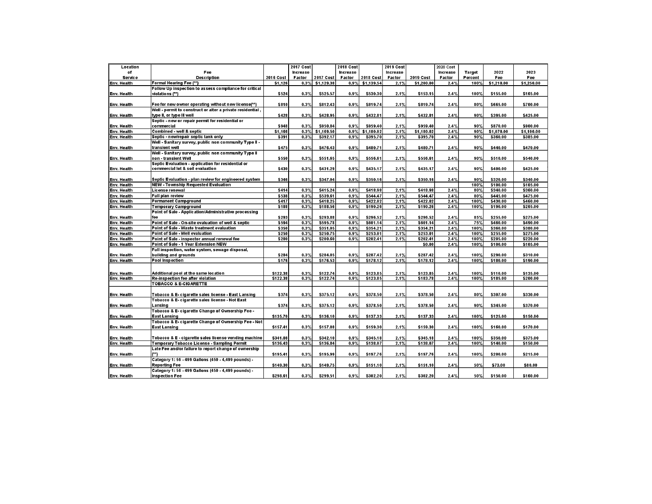| Location       |                                                            |           | <b>2017 Cost</b> |            | <b>2018 Cost</b> |            | 2019 Cost |            | 2020 Cost |               |            |            |
|----------------|------------------------------------------------------------|-----------|------------------|------------|------------------|------------|-----------|------------|-----------|---------------|------------|------------|
| of             | Fee                                                        |           | <b>Increase</b>  |            | <b>Increase</b>  |            | Increase  |            | Increase  | <b>Target</b> | 2022       | 2023       |
|                |                                                            |           |                  |            |                  |            |           |            |           |               |            |            |
| <b>Service</b> | <b>Description</b>                                         | 2016 Cost | Factor           | 2017 Cost  | Factor           | 2018 Cost  | Factor    | 2019 Cost  | Factor    | Percent       | Fee        | Fee        |
| Env. Health    | Formal Hearing Fee (**                                     | \$1,126   | 0.3%             | \$1,129.38 | 0.9%             | \$1,139.54 | 2.1%      | \$1,200.00 | 2.4%      | 100%          | \$1,210.00 | \$1,250.00 |
|                | Follow Up inspection to assess compliance for critical     |           |                  |            |                  |            |           |            |           |               |            |            |
| Env. Health    | violations (**)                                            | \$524     | 0.3%             | \$525.57   | 0.9%             | \$530.30   | 2.1%      | \$153.15   | 2.4%      | 100%          | \$155.00   | \$165.00   |
|                |                                                            |           |                  |            |                  |            |           |            |           |               |            |            |
| Env. Health    | Fee for new owner operating without new license(**)        | \$810     | 0.3%             | \$812.43   | 0.9%             | \$819.74   | 2.1%      | \$819.74   | 2.4%      | 80%           | \$665.00   | \$700.00   |
|                | Well - permit to construct or alter a private residential. |           |                  |            |                  |            |           |            |           |               |            |            |
| lEnv. Health   | type II, or type III well                                  | \$428     | 0.3%             | \$428.95   | 0.9%             | \$432.81   | 2.1%      | \$432.81   | 2.4%      | 90%           | \$395.00   | \$425.00   |
|                | Septic - new or repair permit for residential or           |           |                  |            |                  |            |           |            |           |               |            |            |
| Env. Health    | commercial                                                 | \$948     | 0.3%             | \$950.84   | 0.9%             | \$959.40   | 2.1%      | \$959.40   | 2.4%      | 90%           | \$870.00   | \$900.00   |
| Env. Health    | Combined - well & septic                                   | \$1,166   | 0.3%             | \$1,169.50 | 0.9%             | \$1,180.02 | 2.1%      | \$1,180.02 | 2.4%      | 90%           | \$1.070.00 | \$1,100.00 |
| Env. Health    | Septic - new/repair septic tank only                       | \$391     | 0.3%             | \$392.17   | 0.9%             | \$395.70   | 2.1%      | \$395.70   | 2.4%      | 90%           | \$360.00   | \$385.00   |
|                | Well - Sanitary survey, public non community Type II -     |           |                  |            |                  |            |           |            |           |               |            |            |
| Env. Health    | transient well                                             | \$475     | 0.3%             | \$476.43   | 0.9%             | \$480.71   | 2.1%      | \$480.71   | 2.4%      | 90%           | \$440.00   | \$470.00   |
|                | Well - Sanitary survey, public non community Type II       |           |                  |            |                  |            |           |            |           |               |            |            |
| Env. Health    | non - transient Well                                       | \$550     | 0.3%             | \$551.65   | 0.9%             | \$556.61   | 2.1%      | \$556.61   | 2.4%      | 90%           | \$510.00   | \$540.00   |
|                | Septic Evaluation - application for residential or         |           |                  |            |                  |            |           |            |           |               |            |            |
|                | commercial lot & soil evaluation                           | \$430     | 0.3%             | \$431.29   | 0.9%             | \$435.17   | 2.1%      | \$435.17   | 2.4%      | 90%           | \$400.00   | \$425.00   |
| Env. Health    |                                                            |           |                  |            |                  |            |           |            |           |               |            |            |
|                |                                                            |           |                  |            |                  |            |           |            |           |               |            |            |
| Env. Health    | Septic Evaluation - plan review for engineered system      | \$346     | 0.3%             | \$347.04   | 0.9%             | \$350.16   | 2.1%      | \$350.16   | 2.4%      | 90%           | \$320.00   | \$340.00   |
| Env. Health    | NEW - Township Requested Evaluation                        |           |                  |            |                  |            |           |            |           | 100%          | \$100.00   | \$105.00   |
| Env. Health    | License renewal                                            | \$414     | 0.3%             | \$415.24   | 0.9%             | \$418.98   | 2.1%      | \$418.98   | 2.4%      | 80%           | \$340.00   | \$360.00   |
| Env. Health    | Full plan review                                           | \$538     | 0.3%             | \$539.61   | 0.9%             | \$544.47   | 2.1%      | \$544.47   | 2.4%      | 80%           | \$445.00   | \$475.00   |
| Env. Health    | <b>Permanent Campground</b>                                | \$417     | 0.3%             | \$418.25   | 0.9%             | \$422.02   | 2.1%      | \$422.02   | 2.4%      | 100%          | \$430.00   | \$460.00   |
| Env. Health    | <b>Temporary Campground</b>                                | \$188     | 0.3%             | \$188.56   | 0.9%             | \$190.26   | 2.1%      | \$190.26   | 2.4%      | 100%          | \$190.00   | \$205.00   |
|                | Point of Sale - Application/Administrative processing      |           |                  |            |                  |            |           |            |           |               |            |            |
| Env. Health    | l fee                                                      | \$293     | 0.3%             | \$293.88   | 0.9%             | \$296.52   | 2.1%      | \$295.52   | 2.4%      | 85%           | \$255.00   | \$275.00   |
| Env. Health    | Point of Sale - On-site evaluation of well & septic        | \$594     | 0.3%             | \$595.78   | 0.9%             | \$601.14   | 2.1%      | \$601.14   | 2.4%      | 75%           | \$460.00   | \$490.00   |
| Env. Health    | Point of Sale - Waste treatment evaluation                 | \$350     | 0.3%             | \$351.05   | 0.9%             | \$354.21   | 2.1%      | \$354.21   | 2.4%      | 100%          | \$360.00   | \$380.00   |
| Env. Health    | Point of Sale - Well evaluation                            | \$250     | 0.3%             | \$250.75   | 0.9%             | \$253.01   | 2.1%      | \$253.01   | 2.4%      | 100%          | \$255.00   | \$275.00   |
| Env. Health    | Point of Sale - inspector annual renewal fee               | \$200     | 0.3%             | \$200.60   | 0.9%             | \$202.41   | 2.1%      | \$202.41   | 2.4%      | 100%          | \$205.00   | \$220.00   |
| Env. Health    | Point of Sale - 1 Year Extension NEW                       |           |                  |            |                  |            |           | \$0.00     | 2.4%      | 100%          | \$100.00   | \$105.00   |
|                | Full inspection, water system, sewage disposal,            |           |                  |            |                  |            |           |            |           |               |            |            |
| Env. Health    |                                                            | \$284     | 0.3%             | \$284.85   | 0.9%             | \$287.42   | 2.1%      | \$287.42   | 2.4%      | 100%          | \$290.00   | \$310.00   |
|                | building and grounds                                       |           |                  |            |                  |            |           |            |           |               |            |            |
| Env. Health    | Pool Inspection                                            | \$176     | 0.3%             | \$176.53   | 0.9%             | \$178.12   | 2.1%      | \$178.12   | 2.4%      | 100%          | \$180.00   | \$190.00   |
|                |                                                            |           |                  |            |                  |            |           |            |           |               |            |            |
| Env. Health    | Additional pool at the same location                       | \$122.38  | 0.3%             | \$122.74   | 0.9%             | \$123.85   | 2.1%      | \$123.85   | 2.4%      | 100%          | \$110.00   | \$135.00   |
| ∥Env. Health   | Re-inspection fee after violation                          | \$122.38  | 0.3%             | \$122.74   | 0.9%             | \$123.85   | 2.1%      | \$183.78   | 2.4%      | 100%          | \$185.00   | \$200.00   |
|                | <b>TOBACCO &amp; E-CIGARETTE</b>                           |           |                  |            |                  |            |           |            |           |               |            |            |
|                |                                                            |           |                  |            |                  |            |           |            |           |               |            |            |
| Env. Health    | Tobacco & E- cigarette sales license - East Lansing        | \$374     | 0.3%             | \$375.12   | 0.9%             | \$378.50   | 2.1%      | \$378.50   | 2.4%      | 80%           | \$307.00   | \$330.00   |
|                | Tobacco & E- cigarette sales license - Not East            |           |                  |            |                  |            |           |            |           |               |            |            |
| Env. Health    | lLansing                                                   | \$374     | 0.3%             | \$375.12   | 0.9%             | \$378.50   | 2.1%      | \$378.50   | 2.4%      | 90%           | \$345.00   | \$370.00   |
|                | Tobacco & E- cigarette Change of Ownership Fee -           |           |                  |            |                  |            |           |            |           |               |            |            |
|                |                                                            |           |                  |            |                  |            |           |            |           |               |            |            |
| Env. Health    | <b>East Lansing</b>                                        | \$135.70  | 0.3%             | \$136.10   | 0.9%             | \$137.33   | 2.1%      | \$137.33   | 2.4%      | 100%          | \$125.00   | \$150.00   |
|                | Tobacco & E- cigarette Change of Ownership Fee - Not       |           |                  |            |                  |            |           |            |           |               |            |            |
| ∥Env. Health   | <b>East Lansing</b>                                        | \$157.41  | 0.3%             | \$157.88   | 0.9%             | \$159.30   | 2.1%      | \$159.30   | 2.4%      | 100%          | \$160.00   | \$170.00   |
|                |                                                            |           |                  |            |                  |            |           |            |           |               |            |            |
| Env. Health    | Tobacco & E - cigarette sales license vending machine      | \$341.08  | 0.3%             | \$342.10   | 0.9%             | \$345.18   | 2.1%      | \$345.18   | 2.4%      | 100%          | \$350.00   | \$375.00   |
| Env. Health    | Temporary Tobacco License - Sampling Permit                | \$136.43  | 0.3%             | \$136.84   | 0.9%             | \$138.07   | 2.1%      | \$138.07   | 2.4%      | 100%          | \$140.00   | \$150.00   |
|                | Late Fee and/or failure to report change of ownership      |           |                  |            |                  |            |           |            |           |               |            |            |
| Env. Health    |                                                            | \$195.41  | 0.3%             | \$195.99   | 0.9%             | \$197.76   | 2.1%      | \$197.76   | 2.4%      | 100%          | \$200.00   | \$215.00   |
|                | Category 1: 56 - 499 Gallons (450 - 4,499 pounds) -        |           |                  |            |                  |            |           |            |           |               |            |            |
| Env. Health    | <b>Reporting Fee</b>                                       | \$149.30  | 0.3%             | \$149.75   | 0.9%             | \$151.10   | 2.1%      | \$151.10   | 2.4%      | 50%           | \$73.00    | \$80.00    |
|                | Category 1: 56 - 499 Gallons (450 - 4,499 pounds) -        |           |                  |            |                  |            |           |            |           |               |            |            |
| ∥Env. Health   | <b>Inspection Fee</b>                                      | \$298.61  | 0.3%             | \$299.51   | 0.9%             | \$302.20   | 2.1%      | \$302.20   | 2.4%      | 50%           | \$150.00   | \$160.00   |
|                |                                                            |           |                  |            |                  |            |           |            |           |               |            |            |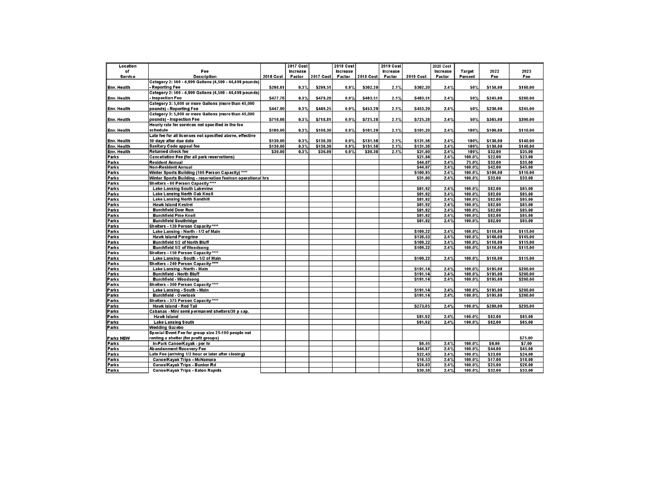| 2022<br>2023<br>of<br>Fee<br>Increase<br>Increase<br>Increase<br><b>Increase</b><br>Target<br><b>Description</b><br>2016 Cost<br>2017 Cost<br>2018 Cost<br>2019 Cost<br>Factor<br>Percent<br>Fee<br>Fee<br>Service<br>Factor<br>Factor<br>Factor<br>Category 2: 500 - 4,999 Gallons (4,500 - 44,499 pounds)<br>Env. Health<br><b>Reporting Fee</b><br>\$298.61<br>\$299.51<br>0.9%<br>\$302.20<br>\$302.20<br>2.4%<br>50%<br>\$150.00<br>\$160.00<br>0.3%<br>2.1%<br>Category 2: 500 - 4,999 Gallons (4,500 - 44,499 pounds)<br>Env. Health<br>- Inspection Fee<br>\$477.76<br>0.3%<br>\$479.20<br>0.9%<br>\$483.51<br>2.1%<br>\$483.51<br>2.4%<br>50%<br>\$245.00<br>\$260.00<br>Category 3: 5,000 or more Gallons (more than 45,000<br>\$447.90<br>0.3%<br>\$449.25<br>0.9%<br>\$453.29<br>2.1%<br>\$453.29<br>2.4%<br>50%<br>\$230.00<br>\$245.00<br>Env. Health<br>pounds) - Reporting Fee<br>Category 3: 5,000 or more Gallons (more than 45,000<br>Env. Health<br>pounds) - Inspection Fee<br>\$716.66<br>0.3%<br>\$718.81<br>0.9%<br>\$725.28<br>2.1%<br>\$725.28<br>2.4%<br>50%<br>\$365.00<br>\$390.00<br>Hourly rate for services not specified in the fee<br>schedule<br>\$100.00<br>0.3%<br>\$100.30<br>0.9%<br>\$101.20<br>2.1%<br>\$101.20<br>2.4%<br>100%<br>\$100.00<br>\$110.00<br>Env. Health<br>Late fee for all licenses not specified above, effective<br>\$130.00<br>0.3%<br>\$130.39<br>0.9%<br>\$131.56<br>2.1%<br>\$131.56<br>2.4%<br>100%<br>\$130.00<br>\$140.00<br>Env. Health<br>30 days after due date<br>\$130.00<br>\$130.39<br>0.9%<br>\$131.56<br>2.1%<br>\$131.56<br>2.4%<br>100%<br>\$130.00<br>\$140.00<br>Env. Health<br>Sanitary Code appeal fee<br>0.3%<br>\$30.09<br>\$32.00<br>\$35.00<br>Env. Health<br>Returned check fee<br>\$30.00<br>0.3%<br>0.9%<br>\$30.36<br>2.1%<br>\$31.00<br>2.4%<br>100%<br>\$21.84<br>2.4%<br>100.0%<br>\$22.00<br>\$23.00<br>Parks<br><b>Cancellation Fee (for all park reservations)</b><br>\$44.07<br><b>Resident Annual</b><br>2.4%<br>75.0%<br>\$32.00<br>\$35.00<br>Parks<br>\$44.07<br>2.4%<br>100.0%<br>\$42.00<br>\$45.00<br>Parks<br>Non-Resident Annual<br>Winter Sports Building (100 Person Capacity) ****<br>\$100.95<br>2.4%<br>100.0%<br>\$100.00<br>Parks<br>\$110.00<br>Winter Sports Building - reservation fee/non operational hrs<br>\$31.00<br>2.4%<br>100.0%<br>\$32.00<br>\$33.00<br>Parks<br>Shelters - 60 Person Capacity ****<br>Parks<br>\$81.92<br>2.4%<br>100.0%<br>\$82.00<br>\$85.00<br>Parks<br><b>Lake Lansing South Lakeview</b><br>Lake Lansing North Oak Knoll<br>\$81.92<br>2.4%<br>100.0%<br>\$82.00<br>\$85.00<br>Parks<br>Parks<br><b>Lake Lansing North Sandhill</b><br>\$81.92<br>2.4%<br>100.0%<br>\$82.00<br>\$85.00<br>\$81.92<br>2.4%<br>100.0%<br>\$82.00<br>\$85.00<br>Parks<br><b>Hawk Island Kestrel</b><br>2.4%<br>\$82.00<br>Parks<br><b>Burchfield Deer Run</b><br>\$81.92<br>100.0%<br>\$85.00<br>\$81.92<br>\$82.00<br>2.4%<br>100.0%<br>\$85.00<br>Parks<br><b>Burchfield Pine Knoll</b><br>\$81.92<br>2.4%<br>100.0%<br>\$82.00<br>\$85.00<br>Parks<br><b>Burchfield Southridge</b><br>Parks<br>Shelters - 120 Person Capacity ****<br>2.4%<br>100.0%<br>\$110.00<br>\$115.00<br>Parks<br>Lake Lansing - North - 1/2 of Main<br>\$109.22<br>\$140.00<br>\$145.00<br>Parks<br><b>Hawk Island Peregrine</b><br>\$136.53<br>2.4%<br>100.0%<br>\$109.22<br>2.4%<br>100.0%<br>\$110.00<br>\$115.00<br>Parks<br>Burchfield 1/2 of North Bluff<br>100.0%<br>\$110.00<br>\$115.00<br>Parks<br>Burchfield 1/2 of Woodsong<br>\$109.22<br>2.4%<br>Shelters - 150 Person Capacity ****<br>Parks<br>\$109.22<br>2.4%<br>100.0%<br>\$110.00<br>\$115.00<br>Parks<br>Lake Lansing - South - 1/2 of Main<br>Shelters - 240 Person Capacity ****<br>Parks<br>2.4%<br>100.0%<br>\$195.00<br>\$200.00<br>Parks<br>Lake Lansing - North - Main<br>\$191.14<br>2.4%<br>\$191.14<br>100.0%<br>\$195.00<br>\$200.00<br>Parks<br><b>Burchfield - North Bluff</b><br>\$191.14<br>2.4%<br>\$195.00<br>Parks<br><b>Burchfield - Woodsong</b><br>100.0%<br>\$200.00<br>Shelters - 300 Person Capacity****<br>Parks<br>2.4%<br>100.0%<br>\$195.00<br>\$200.00<br>Parks<br>Lake Lansing South Main<br>\$191.14<br>\$191.14<br>2.4%<br>100.0%<br>\$195.00<br>\$200.00<br>Parks<br>Burchfield Overlook<br>Shelters - 375 Person Capacity****<br>Parks<br>Hawk Island - Red Tail<br>\$273.05<br>2.4%<br>100.0%<br>\$280.00<br>\$295.00<br>Parks<br>Cabanas - Mini semi permanent shelters/30 p cap.<br>Parks<br>\$82.00<br>\$81.92<br>2.4%<br>100.0%<br>\$85.00<br>Parks<br><b>Hawk Island</b><br><b>Lake Lansing South</b><br>\$81.92<br>2.4%<br>100.0%<br>\$82.00<br>\$85.00<br><b>Parks</b><br>Parks<br><b>Wedding Gazebo</b><br>Special Event Fee for group size 25-100 people not<br>\$75.00<br>Parks NEW<br>renting a shelter (for profit groups)<br>\$7.00<br>\$6.55<br>2.4%<br>100.0%<br>\$6.00<br>Parks<br>In-Park Canoe/Kayak - per hr<br>\$44.87<br>2.4%<br>100.0%<br>\$44.00<br>\$45.00<br>Parks<br>Abandonment Recovery Fee<br>\$24.00<br>Late Fee (arriving 1/2 hour or later after closing)<br>\$22.43<br>2.4%<br>100.0%<br>\$23.00<br>Parks<br>Parks<br>Canoe/Kayak Trips - McNamara<br>\$16.53<br>2.4%<br>100.0%<br>\$17.00<br>\$18.00<br>\$24.03<br>\$25.00<br>Parks<br>Canoe/Kayak Trips - Bunker Rd<br>2.4%<br>100.0%<br>\$26.00<br>\$30.58<br>2.4%<br>100.0%<br>\$32.00<br>\$33.00<br>Parks<br>Canoe/Kayak Trips - Eaton Rapids | Location |  | 2017 Cost | <b>2018 Cost</b> | 2019 Cost | 2020 Cost |  |  |
|-------------------------------------------------------------------------------------------------------------------------------------------------------------------------------------------------------------------------------------------------------------------------------------------------------------------------------------------------------------------------------------------------------------------------------------------------------------------------------------------------------------------------------------------------------------------------------------------------------------------------------------------------------------------------------------------------------------------------------------------------------------------------------------------------------------------------------------------------------------------------------------------------------------------------------------------------------------------------------------------------------------------------------------------------------------------------------------------------------------------------------------------------------------------------------------------------------------------------------------------------------------------------------------------------------------------------------------------------------------------------------------------------------------------------------------------------------------------------------------------------------------------------------------------------------------------------------------------------------------------------------------------------------------------------------------------------------------------------------------------------------------------------------------------------------------------------------------------------------------------------------------------------------------------------------------------------------------------------------------------------------------------------------------------------------------------------------------------------------------------------------------------------------------------------------------------------------------------------------------------------------------------------------------------------------------------------------------------------------------------------------------------------------------------------------------------------------------------------------------------------------------------------------------------------------------------------------------------------------------------------------------------------------------------------------------------------------------------------------------------------------------------------------------------------------------------------------------------------------------------------------------------------------------------------------------------------------------------------------------------------------------------------------------------------------------------------------------------------------------------------------------------------------------------------------------------------------------------------------------------------------------------------------------------------------------------------------------------------------------------------------------------------------------------------------------------------------------------------------------------------------------------------------------------------------------------------------------------------------------------------------------------------------------------------------------------------------------------------------------------------------------------------------------------------------------------------------------------------------------------------------------------------------------------------------------------------------------------------------------------------------------------------------------------------------------------------------------------------------------------------------------------------------------------------------------------------------------------------------------------------------------------------------------------------------------------------------------------------------------------------------------------------------------------------------------------------------------------------------------------------------------------------------------------------------------------------------------------------------------------------------------------------------------------------------------------------------------------------------------------------------------------------------------------------------------------------------------------------------------------------------------------------------------------------------------------------------------------------------------------------------------------------------------------------------------------------------------------------------------------------------------------------------------------------------------------------------------------------------------------------------------------------------------------------------------------------------------------------------------------------------------------------------------------------------------------------------|----------|--|-----------|------------------|-----------|-----------|--|--|
|                                                                                                                                                                                                                                                                                                                                                                                                                                                                                                                                                                                                                                                                                                                                                                                                                                                                                                                                                                                                                                                                                                                                                                                                                                                                                                                                                                                                                                                                                                                                                                                                                                                                                                                                                                                                                                                                                                                                                                                                                                                                                                                                                                                                                                                                                                                                                                                                                                                                                                                                                                                                                                                                                                                                                                                                                                                                                                                                                                                                                                                                                                                                                                                                                                                                                                                                                                                                                                                                                                                                                                                                                                                                                                                                                                                                                                                                                                                                                                                                                                                                                                                                                                                                                                                                                                                                                                                                                                                                                                                                                                                                                                                                                                                                                                                                                                                                                                                                                                                                                                                                                                                                                                                                                                                                                                                                                                                                                                                       |          |  |           |                  |           |           |  |  |
|                                                                                                                                                                                                                                                                                                                                                                                                                                                                                                                                                                                                                                                                                                                                                                                                                                                                                                                                                                                                                                                                                                                                                                                                                                                                                                                                                                                                                                                                                                                                                                                                                                                                                                                                                                                                                                                                                                                                                                                                                                                                                                                                                                                                                                                                                                                                                                                                                                                                                                                                                                                                                                                                                                                                                                                                                                                                                                                                                                                                                                                                                                                                                                                                                                                                                                                                                                                                                                                                                                                                                                                                                                                                                                                                                                                                                                                                                                                                                                                                                                                                                                                                                                                                                                                                                                                                                                                                                                                                                                                                                                                                                                                                                                                                                                                                                                                                                                                                                                                                                                                                                                                                                                                                                                                                                                                                                                                                                                                       |          |  |           |                  |           |           |  |  |
|                                                                                                                                                                                                                                                                                                                                                                                                                                                                                                                                                                                                                                                                                                                                                                                                                                                                                                                                                                                                                                                                                                                                                                                                                                                                                                                                                                                                                                                                                                                                                                                                                                                                                                                                                                                                                                                                                                                                                                                                                                                                                                                                                                                                                                                                                                                                                                                                                                                                                                                                                                                                                                                                                                                                                                                                                                                                                                                                                                                                                                                                                                                                                                                                                                                                                                                                                                                                                                                                                                                                                                                                                                                                                                                                                                                                                                                                                                                                                                                                                                                                                                                                                                                                                                                                                                                                                                                                                                                                                                                                                                                                                                                                                                                                                                                                                                                                                                                                                                                                                                                                                                                                                                                                                                                                                                                                                                                                                                                       |          |  |           |                  |           |           |  |  |
|                                                                                                                                                                                                                                                                                                                                                                                                                                                                                                                                                                                                                                                                                                                                                                                                                                                                                                                                                                                                                                                                                                                                                                                                                                                                                                                                                                                                                                                                                                                                                                                                                                                                                                                                                                                                                                                                                                                                                                                                                                                                                                                                                                                                                                                                                                                                                                                                                                                                                                                                                                                                                                                                                                                                                                                                                                                                                                                                                                                                                                                                                                                                                                                                                                                                                                                                                                                                                                                                                                                                                                                                                                                                                                                                                                                                                                                                                                                                                                                                                                                                                                                                                                                                                                                                                                                                                                                                                                                                                                                                                                                                                                                                                                                                                                                                                                                                                                                                                                                                                                                                                                                                                                                                                                                                                                                                                                                                                                                       |          |  |           |                  |           |           |  |  |
|                                                                                                                                                                                                                                                                                                                                                                                                                                                                                                                                                                                                                                                                                                                                                                                                                                                                                                                                                                                                                                                                                                                                                                                                                                                                                                                                                                                                                                                                                                                                                                                                                                                                                                                                                                                                                                                                                                                                                                                                                                                                                                                                                                                                                                                                                                                                                                                                                                                                                                                                                                                                                                                                                                                                                                                                                                                                                                                                                                                                                                                                                                                                                                                                                                                                                                                                                                                                                                                                                                                                                                                                                                                                                                                                                                                                                                                                                                                                                                                                                                                                                                                                                                                                                                                                                                                                                                                                                                                                                                                                                                                                                                                                                                                                                                                                                                                                                                                                                                                                                                                                                                                                                                                                                                                                                                                                                                                                                                                       |          |  |           |                  |           |           |  |  |
|                                                                                                                                                                                                                                                                                                                                                                                                                                                                                                                                                                                                                                                                                                                                                                                                                                                                                                                                                                                                                                                                                                                                                                                                                                                                                                                                                                                                                                                                                                                                                                                                                                                                                                                                                                                                                                                                                                                                                                                                                                                                                                                                                                                                                                                                                                                                                                                                                                                                                                                                                                                                                                                                                                                                                                                                                                                                                                                                                                                                                                                                                                                                                                                                                                                                                                                                                                                                                                                                                                                                                                                                                                                                                                                                                                                                                                                                                                                                                                                                                                                                                                                                                                                                                                                                                                                                                                                                                                                                                                                                                                                                                                                                                                                                                                                                                                                                                                                                                                                                                                                                                                                                                                                                                                                                                                                                                                                                                                                       |          |  |           |                  |           |           |  |  |
|                                                                                                                                                                                                                                                                                                                                                                                                                                                                                                                                                                                                                                                                                                                                                                                                                                                                                                                                                                                                                                                                                                                                                                                                                                                                                                                                                                                                                                                                                                                                                                                                                                                                                                                                                                                                                                                                                                                                                                                                                                                                                                                                                                                                                                                                                                                                                                                                                                                                                                                                                                                                                                                                                                                                                                                                                                                                                                                                                                                                                                                                                                                                                                                                                                                                                                                                                                                                                                                                                                                                                                                                                                                                                                                                                                                                                                                                                                                                                                                                                                                                                                                                                                                                                                                                                                                                                                                                                                                                                                                                                                                                                                                                                                                                                                                                                                                                                                                                                                                                                                                                                                                                                                                                                                                                                                                                                                                                                                                       |          |  |           |                  |           |           |  |  |
|                                                                                                                                                                                                                                                                                                                                                                                                                                                                                                                                                                                                                                                                                                                                                                                                                                                                                                                                                                                                                                                                                                                                                                                                                                                                                                                                                                                                                                                                                                                                                                                                                                                                                                                                                                                                                                                                                                                                                                                                                                                                                                                                                                                                                                                                                                                                                                                                                                                                                                                                                                                                                                                                                                                                                                                                                                                                                                                                                                                                                                                                                                                                                                                                                                                                                                                                                                                                                                                                                                                                                                                                                                                                                                                                                                                                                                                                                                                                                                                                                                                                                                                                                                                                                                                                                                                                                                                                                                                                                                                                                                                                                                                                                                                                                                                                                                                                                                                                                                                                                                                                                                                                                                                                                                                                                                                                                                                                                                                       |          |  |           |                  |           |           |  |  |
|                                                                                                                                                                                                                                                                                                                                                                                                                                                                                                                                                                                                                                                                                                                                                                                                                                                                                                                                                                                                                                                                                                                                                                                                                                                                                                                                                                                                                                                                                                                                                                                                                                                                                                                                                                                                                                                                                                                                                                                                                                                                                                                                                                                                                                                                                                                                                                                                                                                                                                                                                                                                                                                                                                                                                                                                                                                                                                                                                                                                                                                                                                                                                                                                                                                                                                                                                                                                                                                                                                                                                                                                                                                                                                                                                                                                                                                                                                                                                                                                                                                                                                                                                                                                                                                                                                                                                                                                                                                                                                                                                                                                                                                                                                                                                                                                                                                                                                                                                                                                                                                                                                                                                                                                                                                                                                                                                                                                                                                       |          |  |           |                  |           |           |  |  |
|                                                                                                                                                                                                                                                                                                                                                                                                                                                                                                                                                                                                                                                                                                                                                                                                                                                                                                                                                                                                                                                                                                                                                                                                                                                                                                                                                                                                                                                                                                                                                                                                                                                                                                                                                                                                                                                                                                                                                                                                                                                                                                                                                                                                                                                                                                                                                                                                                                                                                                                                                                                                                                                                                                                                                                                                                                                                                                                                                                                                                                                                                                                                                                                                                                                                                                                                                                                                                                                                                                                                                                                                                                                                                                                                                                                                                                                                                                                                                                                                                                                                                                                                                                                                                                                                                                                                                                                                                                                                                                                                                                                                                                                                                                                                                                                                                                                                                                                                                                                                                                                                                                                                                                                                                                                                                                                                                                                                                                                       |          |  |           |                  |           |           |  |  |
|                                                                                                                                                                                                                                                                                                                                                                                                                                                                                                                                                                                                                                                                                                                                                                                                                                                                                                                                                                                                                                                                                                                                                                                                                                                                                                                                                                                                                                                                                                                                                                                                                                                                                                                                                                                                                                                                                                                                                                                                                                                                                                                                                                                                                                                                                                                                                                                                                                                                                                                                                                                                                                                                                                                                                                                                                                                                                                                                                                                                                                                                                                                                                                                                                                                                                                                                                                                                                                                                                                                                                                                                                                                                                                                                                                                                                                                                                                                                                                                                                                                                                                                                                                                                                                                                                                                                                                                                                                                                                                                                                                                                                                                                                                                                                                                                                                                                                                                                                                                                                                                                                                                                                                                                                                                                                                                                                                                                                                                       |          |  |           |                  |           |           |  |  |
|                                                                                                                                                                                                                                                                                                                                                                                                                                                                                                                                                                                                                                                                                                                                                                                                                                                                                                                                                                                                                                                                                                                                                                                                                                                                                                                                                                                                                                                                                                                                                                                                                                                                                                                                                                                                                                                                                                                                                                                                                                                                                                                                                                                                                                                                                                                                                                                                                                                                                                                                                                                                                                                                                                                                                                                                                                                                                                                                                                                                                                                                                                                                                                                                                                                                                                                                                                                                                                                                                                                                                                                                                                                                                                                                                                                                                                                                                                                                                                                                                                                                                                                                                                                                                                                                                                                                                                                                                                                                                                                                                                                                                                                                                                                                                                                                                                                                                                                                                                                                                                                                                                                                                                                                                                                                                                                                                                                                                                                       |          |  |           |                  |           |           |  |  |
|                                                                                                                                                                                                                                                                                                                                                                                                                                                                                                                                                                                                                                                                                                                                                                                                                                                                                                                                                                                                                                                                                                                                                                                                                                                                                                                                                                                                                                                                                                                                                                                                                                                                                                                                                                                                                                                                                                                                                                                                                                                                                                                                                                                                                                                                                                                                                                                                                                                                                                                                                                                                                                                                                                                                                                                                                                                                                                                                                                                                                                                                                                                                                                                                                                                                                                                                                                                                                                                                                                                                                                                                                                                                                                                                                                                                                                                                                                                                                                                                                                                                                                                                                                                                                                                                                                                                                                                                                                                                                                                                                                                                                                                                                                                                                                                                                                                                                                                                                                                                                                                                                                                                                                                                                                                                                                                                                                                                                                                       |          |  |           |                  |           |           |  |  |
|                                                                                                                                                                                                                                                                                                                                                                                                                                                                                                                                                                                                                                                                                                                                                                                                                                                                                                                                                                                                                                                                                                                                                                                                                                                                                                                                                                                                                                                                                                                                                                                                                                                                                                                                                                                                                                                                                                                                                                                                                                                                                                                                                                                                                                                                                                                                                                                                                                                                                                                                                                                                                                                                                                                                                                                                                                                                                                                                                                                                                                                                                                                                                                                                                                                                                                                                                                                                                                                                                                                                                                                                                                                                                                                                                                                                                                                                                                                                                                                                                                                                                                                                                                                                                                                                                                                                                                                                                                                                                                                                                                                                                                                                                                                                                                                                                                                                                                                                                                                                                                                                                                                                                                                                                                                                                                                                                                                                                                                       |          |  |           |                  |           |           |  |  |
|                                                                                                                                                                                                                                                                                                                                                                                                                                                                                                                                                                                                                                                                                                                                                                                                                                                                                                                                                                                                                                                                                                                                                                                                                                                                                                                                                                                                                                                                                                                                                                                                                                                                                                                                                                                                                                                                                                                                                                                                                                                                                                                                                                                                                                                                                                                                                                                                                                                                                                                                                                                                                                                                                                                                                                                                                                                                                                                                                                                                                                                                                                                                                                                                                                                                                                                                                                                                                                                                                                                                                                                                                                                                                                                                                                                                                                                                                                                                                                                                                                                                                                                                                                                                                                                                                                                                                                                                                                                                                                                                                                                                                                                                                                                                                                                                                                                                                                                                                                                                                                                                                                                                                                                                                                                                                                                                                                                                                                                       |          |  |           |                  |           |           |  |  |
|                                                                                                                                                                                                                                                                                                                                                                                                                                                                                                                                                                                                                                                                                                                                                                                                                                                                                                                                                                                                                                                                                                                                                                                                                                                                                                                                                                                                                                                                                                                                                                                                                                                                                                                                                                                                                                                                                                                                                                                                                                                                                                                                                                                                                                                                                                                                                                                                                                                                                                                                                                                                                                                                                                                                                                                                                                                                                                                                                                                                                                                                                                                                                                                                                                                                                                                                                                                                                                                                                                                                                                                                                                                                                                                                                                                                                                                                                                                                                                                                                                                                                                                                                                                                                                                                                                                                                                                                                                                                                                                                                                                                                                                                                                                                                                                                                                                                                                                                                                                                                                                                                                                                                                                                                                                                                                                                                                                                                                                       |          |  |           |                  |           |           |  |  |
|                                                                                                                                                                                                                                                                                                                                                                                                                                                                                                                                                                                                                                                                                                                                                                                                                                                                                                                                                                                                                                                                                                                                                                                                                                                                                                                                                                                                                                                                                                                                                                                                                                                                                                                                                                                                                                                                                                                                                                                                                                                                                                                                                                                                                                                                                                                                                                                                                                                                                                                                                                                                                                                                                                                                                                                                                                                                                                                                                                                                                                                                                                                                                                                                                                                                                                                                                                                                                                                                                                                                                                                                                                                                                                                                                                                                                                                                                                                                                                                                                                                                                                                                                                                                                                                                                                                                                                                                                                                                                                                                                                                                                                                                                                                                                                                                                                                                                                                                                                                                                                                                                                                                                                                                                                                                                                                                                                                                                                                       |          |  |           |                  |           |           |  |  |
|                                                                                                                                                                                                                                                                                                                                                                                                                                                                                                                                                                                                                                                                                                                                                                                                                                                                                                                                                                                                                                                                                                                                                                                                                                                                                                                                                                                                                                                                                                                                                                                                                                                                                                                                                                                                                                                                                                                                                                                                                                                                                                                                                                                                                                                                                                                                                                                                                                                                                                                                                                                                                                                                                                                                                                                                                                                                                                                                                                                                                                                                                                                                                                                                                                                                                                                                                                                                                                                                                                                                                                                                                                                                                                                                                                                                                                                                                                                                                                                                                                                                                                                                                                                                                                                                                                                                                                                                                                                                                                                                                                                                                                                                                                                                                                                                                                                                                                                                                                                                                                                                                                                                                                                                                                                                                                                                                                                                                                                       |          |  |           |                  |           |           |  |  |
|                                                                                                                                                                                                                                                                                                                                                                                                                                                                                                                                                                                                                                                                                                                                                                                                                                                                                                                                                                                                                                                                                                                                                                                                                                                                                                                                                                                                                                                                                                                                                                                                                                                                                                                                                                                                                                                                                                                                                                                                                                                                                                                                                                                                                                                                                                                                                                                                                                                                                                                                                                                                                                                                                                                                                                                                                                                                                                                                                                                                                                                                                                                                                                                                                                                                                                                                                                                                                                                                                                                                                                                                                                                                                                                                                                                                                                                                                                                                                                                                                                                                                                                                                                                                                                                                                                                                                                                                                                                                                                                                                                                                                                                                                                                                                                                                                                                                                                                                                                                                                                                                                                                                                                                                                                                                                                                                                                                                                                                       |          |  |           |                  |           |           |  |  |
|                                                                                                                                                                                                                                                                                                                                                                                                                                                                                                                                                                                                                                                                                                                                                                                                                                                                                                                                                                                                                                                                                                                                                                                                                                                                                                                                                                                                                                                                                                                                                                                                                                                                                                                                                                                                                                                                                                                                                                                                                                                                                                                                                                                                                                                                                                                                                                                                                                                                                                                                                                                                                                                                                                                                                                                                                                                                                                                                                                                                                                                                                                                                                                                                                                                                                                                                                                                                                                                                                                                                                                                                                                                                                                                                                                                                                                                                                                                                                                                                                                                                                                                                                                                                                                                                                                                                                                                                                                                                                                                                                                                                                                                                                                                                                                                                                                                                                                                                                                                                                                                                                                                                                                                                                                                                                                                                                                                                                                                       |          |  |           |                  |           |           |  |  |
|                                                                                                                                                                                                                                                                                                                                                                                                                                                                                                                                                                                                                                                                                                                                                                                                                                                                                                                                                                                                                                                                                                                                                                                                                                                                                                                                                                                                                                                                                                                                                                                                                                                                                                                                                                                                                                                                                                                                                                                                                                                                                                                                                                                                                                                                                                                                                                                                                                                                                                                                                                                                                                                                                                                                                                                                                                                                                                                                                                                                                                                                                                                                                                                                                                                                                                                                                                                                                                                                                                                                                                                                                                                                                                                                                                                                                                                                                                                                                                                                                                                                                                                                                                                                                                                                                                                                                                                                                                                                                                                                                                                                                                                                                                                                                                                                                                                                                                                                                                                                                                                                                                                                                                                                                                                                                                                                                                                                                                                       |          |  |           |                  |           |           |  |  |
|                                                                                                                                                                                                                                                                                                                                                                                                                                                                                                                                                                                                                                                                                                                                                                                                                                                                                                                                                                                                                                                                                                                                                                                                                                                                                                                                                                                                                                                                                                                                                                                                                                                                                                                                                                                                                                                                                                                                                                                                                                                                                                                                                                                                                                                                                                                                                                                                                                                                                                                                                                                                                                                                                                                                                                                                                                                                                                                                                                                                                                                                                                                                                                                                                                                                                                                                                                                                                                                                                                                                                                                                                                                                                                                                                                                                                                                                                                                                                                                                                                                                                                                                                                                                                                                                                                                                                                                                                                                                                                                                                                                                                                                                                                                                                                                                                                                                                                                                                                                                                                                                                                                                                                                                                                                                                                                                                                                                                                                       |          |  |           |                  |           |           |  |  |
|                                                                                                                                                                                                                                                                                                                                                                                                                                                                                                                                                                                                                                                                                                                                                                                                                                                                                                                                                                                                                                                                                                                                                                                                                                                                                                                                                                                                                                                                                                                                                                                                                                                                                                                                                                                                                                                                                                                                                                                                                                                                                                                                                                                                                                                                                                                                                                                                                                                                                                                                                                                                                                                                                                                                                                                                                                                                                                                                                                                                                                                                                                                                                                                                                                                                                                                                                                                                                                                                                                                                                                                                                                                                                                                                                                                                                                                                                                                                                                                                                                                                                                                                                                                                                                                                                                                                                                                                                                                                                                                                                                                                                                                                                                                                                                                                                                                                                                                                                                                                                                                                                                                                                                                                                                                                                                                                                                                                                                                       |          |  |           |                  |           |           |  |  |
|                                                                                                                                                                                                                                                                                                                                                                                                                                                                                                                                                                                                                                                                                                                                                                                                                                                                                                                                                                                                                                                                                                                                                                                                                                                                                                                                                                                                                                                                                                                                                                                                                                                                                                                                                                                                                                                                                                                                                                                                                                                                                                                                                                                                                                                                                                                                                                                                                                                                                                                                                                                                                                                                                                                                                                                                                                                                                                                                                                                                                                                                                                                                                                                                                                                                                                                                                                                                                                                                                                                                                                                                                                                                                                                                                                                                                                                                                                                                                                                                                                                                                                                                                                                                                                                                                                                                                                                                                                                                                                                                                                                                                                                                                                                                                                                                                                                                                                                                                                                                                                                                                                                                                                                                                                                                                                                                                                                                                                                       |          |  |           |                  |           |           |  |  |
|                                                                                                                                                                                                                                                                                                                                                                                                                                                                                                                                                                                                                                                                                                                                                                                                                                                                                                                                                                                                                                                                                                                                                                                                                                                                                                                                                                                                                                                                                                                                                                                                                                                                                                                                                                                                                                                                                                                                                                                                                                                                                                                                                                                                                                                                                                                                                                                                                                                                                                                                                                                                                                                                                                                                                                                                                                                                                                                                                                                                                                                                                                                                                                                                                                                                                                                                                                                                                                                                                                                                                                                                                                                                                                                                                                                                                                                                                                                                                                                                                                                                                                                                                                                                                                                                                                                                                                                                                                                                                                                                                                                                                                                                                                                                                                                                                                                                                                                                                                                                                                                                                                                                                                                                                                                                                                                                                                                                                                                       |          |  |           |                  |           |           |  |  |
|                                                                                                                                                                                                                                                                                                                                                                                                                                                                                                                                                                                                                                                                                                                                                                                                                                                                                                                                                                                                                                                                                                                                                                                                                                                                                                                                                                                                                                                                                                                                                                                                                                                                                                                                                                                                                                                                                                                                                                                                                                                                                                                                                                                                                                                                                                                                                                                                                                                                                                                                                                                                                                                                                                                                                                                                                                                                                                                                                                                                                                                                                                                                                                                                                                                                                                                                                                                                                                                                                                                                                                                                                                                                                                                                                                                                                                                                                                                                                                                                                                                                                                                                                                                                                                                                                                                                                                                                                                                                                                                                                                                                                                                                                                                                                                                                                                                                                                                                                                                                                                                                                                                                                                                                                                                                                                                                                                                                                                                       |          |  |           |                  |           |           |  |  |
|                                                                                                                                                                                                                                                                                                                                                                                                                                                                                                                                                                                                                                                                                                                                                                                                                                                                                                                                                                                                                                                                                                                                                                                                                                                                                                                                                                                                                                                                                                                                                                                                                                                                                                                                                                                                                                                                                                                                                                                                                                                                                                                                                                                                                                                                                                                                                                                                                                                                                                                                                                                                                                                                                                                                                                                                                                                                                                                                                                                                                                                                                                                                                                                                                                                                                                                                                                                                                                                                                                                                                                                                                                                                                                                                                                                                                                                                                                                                                                                                                                                                                                                                                                                                                                                                                                                                                                                                                                                                                                                                                                                                                                                                                                                                                                                                                                                                                                                                                                                                                                                                                                                                                                                                                                                                                                                                                                                                                                                       |          |  |           |                  |           |           |  |  |
|                                                                                                                                                                                                                                                                                                                                                                                                                                                                                                                                                                                                                                                                                                                                                                                                                                                                                                                                                                                                                                                                                                                                                                                                                                                                                                                                                                                                                                                                                                                                                                                                                                                                                                                                                                                                                                                                                                                                                                                                                                                                                                                                                                                                                                                                                                                                                                                                                                                                                                                                                                                                                                                                                                                                                                                                                                                                                                                                                                                                                                                                                                                                                                                                                                                                                                                                                                                                                                                                                                                                                                                                                                                                                                                                                                                                                                                                                                                                                                                                                                                                                                                                                                                                                                                                                                                                                                                                                                                                                                                                                                                                                                                                                                                                                                                                                                                                                                                                                                                                                                                                                                                                                                                                                                                                                                                                                                                                                                                       |          |  |           |                  |           |           |  |  |
|                                                                                                                                                                                                                                                                                                                                                                                                                                                                                                                                                                                                                                                                                                                                                                                                                                                                                                                                                                                                                                                                                                                                                                                                                                                                                                                                                                                                                                                                                                                                                                                                                                                                                                                                                                                                                                                                                                                                                                                                                                                                                                                                                                                                                                                                                                                                                                                                                                                                                                                                                                                                                                                                                                                                                                                                                                                                                                                                                                                                                                                                                                                                                                                                                                                                                                                                                                                                                                                                                                                                                                                                                                                                                                                                                                                                                                                                                                                                                                                                                                                                                                                                                                                                                                                                                                                                                                                                                                                                                                                                                                                                                                                                                                                                                                                                                                                                                                                                                                                                                                                                                                                                                                                                                                                                                                                                                                                                                                                       |          |  |           |                  |           |           |  |  |
|                                                                                                                                                                                                                                                                                                                                                                                                                                                                                                                                                                                                                                                                                                                                                                                                                                                                                                                                                                                                                                                                                                                                                                                                                                                                                                                                                                                                                                                                                                                                                                                                                                                                                                                                                                                                                                                                                                                                                                                                                                                                                                                                                                                                                                                                                                                                                                                                                                                                                                                                                                                                                                                                                                                                                                                                                                                                                                                                                                                                                                                                                                                                                                                                                                                                                                                                                                                                                                                                                                                                                                                                                                                                                                                                                                                                                                                                                                                                                                                                                                                                                                                                                                                                                                                                                                                                                                                                                                                                                                                                                                                                                                                                                                                                                                                                                                                                                                                                                                                                                                                                                                                                                                                                                                                                                                                                                                                                                                                       |          |  |           |                  |           |           |  |  |
|                                                                                                                                                                                                                                                                                                                                                                                                                                                                                                                                                                                                                                                                                                                                                                                                                                                                                                                                                                                                                                                                                                                                                                                                                                                                                                                                                                                                                                                                                                                                                                                                                                                                                                                                                                                                                                                                                                                                                                                                                                                                                                                                                                                                                                                                                                                                                                                                                                                                                                                                                                                                                                                                                                                                                                                                                                                                                                                                                                                                                                                                                                                                                                                                                                                                                                                                                                                                                                                                                                                                                                                                                                                                                                                                                                                                                                                                                                                                                                                                                                                                                                                                                                                                                                                                                                                                                                                                                                                                                                                                                                                                                                                                                                                                                                                                                                                                                                                                                                                                                                                                                                                                                                                                                                                                                                                                                                                                                                                       |          |  |           |                  |           |           |  |  |
|                                                                                                                                                                                                                                                                                                                                                                                                                                                                                                                                                                                                                                                                                                                                                                                                                                                                                                                                                                                                                                                                                                                                                                                                                                                                                                                                                                                                                                                                                                                                                                                                                                                                                                                                                                                                                                                                                                                                                                                                                                                                                                                                                                                                                                                                                                                                                                                                                                                                                                                                                                                                                                                                                                                                                                                                                                                                                                                                                                                                                                                                                                                                                                                                                                                                                                                                                                                                                                                                                                                                                                                                                                                                                                                                                                                                                                                                                                                                                                                                                                                                                                                                                                                                                                                                                                                                                                                                                                                                                                                                                                                                                                                                                                                                                                                                                                                                                                                                                                                                                                                                                                                                                                                                                                                                                                                                                                                                                                                       |          |  |           |                  |           |           |  |  |
|                                                                                                                                                                                                                                                                                                                                                                                                                                                                                                                                                                                                                                                                                                                                                                                                                                                                                                                                                                                                                                                                                                                                                                                                                                                                                                                                                                                                                                                                                                                                                                                                                                                                                                                                                                                                                                                                                                                                                                                                                                                                                                                                                                                                                                                                                                                                                                                                                                                                                                                                                                                                                                                                                                                                                                                                                                                                                                                                                                                                                                                                                                                                                                                                                                                                                                                                                                                                                                                                                                                                                                                                                                                                                                                                                                                                                                                                                                                                                                                                                                                                                                                                                                                                                                                                                                                                                                                                                                                                                                                                                                                                                                                                                                                                                                                                                                                                                                                                                                                                                                                                                                                                                                                                                                                                                                                                                                                                                                                       |          |  |           |                  |           |           |  |  |
|                                                                                                                                                                                                                                                                                                                                                                                                                                                                                                                                                                                                                                                                                                                                                                                                                                                                                                                                                                                                                                                                                                                                                                                                                                                                                                                                                                                                                                                                                                                                                                                                                                                                                                                                                                                                                                                                                                                                                                                                                                                                                                                                                                                                                                                                                                                                                                                                                                                                                                                                                                                                                                                                                                                                                                                                                                                                                                                                                                                                                                                                                                                                                                                                                                                                                                                                                                                                                                                                                                                                                                                                                                                                                                                                                                                                                                                                                                                                                                                                                                                                                                                                                                                                                                                                                                                                                                                                                                                                                                                                                                                                                                                                                                                                                                                                                                                                                                                                                                                                                                                                                                                                                                                                                                                                                                                                                                                                                                                       |          |  |           |                  |           |           |  |  |
|                                                                                                                                                                                                                                                                                                                                                                                                                                                                                                                                                                                                                                                                                                                                                                                                                                                                                                                                                                                                                                                                                                                                                                                                                                                                                                                                                                                                                                                                                                                                                                                                                                                                                                                                                                                                                                                                                                                                                                                                                                                                                                                                                                                                                                                                                                                                                                                                                                                                                                                                                                                                                                                                                                                                                                                                                                                                                                                                                                                                                                                                                                                                                                                                                                                                                                                                                                                                                                                                                                                                                                                                                                                                                                                                                                                                                                                                                                                                                                                                                                                                                                                                                                                                                                                                                                                                                                                                                                                                                                                                                                                                                                                                                                                                                                                                                                                                                                                                                                                                                                                                                                                                                                                                                                                                                                                                                                                                                                                       |          |  |           |                  |           |           |  |  |
|                                                                                                                                                                                                                                                                                                                                                                                                                                                                                                                                                                                                                                                                                                                                                                                                                                                                                                                                                                                                                                                                                                                                                                                                                                                                                                                                                                                                                                                                                                                                                                                                                                                                                                                                                                                                                                                                                                                                                                                                                                                                                                                                                                                                                                                                                                                                                                                                                                                                                                                                                                                                                                                                                                                                                                                                                                                                                                                                                                                                                                                                                                                                                                                                                                                                                                                                                                                                                                                                                                                                                                                                                                                                                                                                                                                                                                                                                                                                                                                                                                                                                                                                                                                                                                                                                                                                                                                                                                                                                                                                                                                                                                                                                                                                                                                                                                                                                                                                                                                                                                                                                                                                                                                                                                                                                                                                                                                                                                                       |          |  |           |                  |           |           |  |  |
|                                                                                                                                                                                                                                                                                                                                                                                                                                                                                                                                                                                                                                                                                                                                                                                                                                                                                                                                                                                                                                                                                                                                                                                                                                                                                                                                                                                                                                                                                                                                                                                                                                                                                                                                                                                                                                                                                                                                                                                                                                                                                                                                                                                                                                                                                                                                                                                                                                                                                                                                                                                                                                                                                                                                                                                                                                                                                                                                                                                                                                                                                                                                                                                                                                                                                                                                                                                                                                                                                                                                                                                                                                                                                                                                                                                                                                                                                                                                                                                                                                                                                                                                                                                                                                                                                                                                                                                                                                                                                                                                                                                                                                                                                                                                                                                                                                                                                                                                                                                                                                                                                                                                                                                                                                                                                                                                                                                                                                                       |          |  |           |                  |           |           |  |  |
|                                                                                                                                                                                                                                                                                                                                                                                                                                                                                                                                                                                                                                                                                                                                                                                                                                                                                                                                                                                                                                                                                                                                                                                                                                                                                                                                                                                                                                                                                                                                                                                                                                                                                                                                                                                                                                                                                                                                                                                                                                                                                                                                                                                                                                                                                                                                                                                                                                                                                                                                                                                                                                                                                                                                                                                                                                                                                                                                                                                                                                                                                                                                                                                                                                                                                                                                                                                                                                                                                                                                                                                                                                                                                                                                                                                                                                                                                                                                                                                                                                                                                                                                                                                                                                                                                                                                                                                                                                                                                                                                                                                                                                                                                                                                                                                                                                                                                                                                                                                                                                                                                                                                                                                                                                                                                                                                                                                                                                                       |          |  |           |                  |           |           |  |  |
|                                                                                                                                                                                                                                                                                                                                                                                                                                                                                                                                                                                                                                                                                                                                                                                                                                                                                                                                                                                                                                                                                                                                                                                                                                                                                                                                                                                                                                                                                                                                                                                                                                                                                                                                                                                                                                                                                                                                                                                                                                                                                                                                                                                                                                                                                                                                                                                                                                                                                                                                                                                                                                                                                                                                                                                                                                                                                                                                                                                                                                                                                                                                                                                                                                                                                                                                                                                                                                                                                                                                                                                                                                                                                                                                                                                                                                                                                                                                                                                                                                                                                                                                                                                                                                                                                                                                                                                                                                                                                                                                                                                                                                                                                                                                                                                                                                                                                                                                                                                                                                                                                                                                                                                                                                                                                                                                                                                                                                                       |          |  |           |                  |           |           |  |  |
|                                                                                                                                                                                                                                                                                                                                                                                                                                                                                                                                                                                                                                                                                                                                                                                                                                                                                                                                                                                                                                                                                                                                                                                                                                                                                                                                                                                                                                                                                                                                                                                                                                                                                                                                                                                                                                                                                                                                                                                                                                                                                                                                                                                                                                                                                                                                                                                                                                                                                                                                                                                                                                                                                                                                                                                                                                                                                                                                                                                                                                                                                                                                                                                                                                                                                                                                                                                                                                                                                                                                                                                                                                                                                                                                                                                                                                                                                                                                                                                                                                                                                                                                                                                                                                                                                                                                                                                                                                                                                                                                                                                                                                                                                                                                                                                                                                                                                                                                                                                                                                                                                                                                                                                                                                                                                                                                                                                                                                                       |          |  |           |                  |           |           |  |  |
|                                                                                                                                                                                                                                                                                                                                                                                                                                                                                                                                                                                                                                                                                                                                                                                                                                                                                                                                                                                                                                                                                                                                                                                                                                                                                                                                                                                                                                                                                                                                                                                                                                                                                                                                                                                                                                                                                                                                                                                                                                                                                                                                                                                                                                                                                                                                                                                                                                                                                                                                                                                                                                                                                                                                                                                                                                                                                                                                                                                                                                                                                                                                                                                                                                                                                                                                                                                                                                                                                                                                                                                                                                                                                                                                                                                                                                                                                                                                                                                                                                                                                                                                                                                                                                                                                                                                                                                                                                                                                                                                                                                                                                                                                                                                                                                                                                                                                                                                                                                                                                                                                                                                                                                                                                                                                                                                                                                                                                                       |          |  |           |                  |           |           |  |  |
|                                                                                                                                                                                                                                                                                                                                                                                                                                                                                                                                                                                                                                                                                                                                                                                                                                                                                                                                                                                                                                                                                                                                                                                                                                                                                                                                                                                                                                                                                                                                                                                                                                                                                                                                                                                                                                                                                                                                                                                                                                                                                                                                                                                                                                                                                                                                                                                                                                                                                                                                                                                                                                                                                                                                                                                                                                                                                                                                                                                                                                                                                                                                                                                                                                                                                                                                                                                                                                                                                                                                                                                                                                                                                                                                                                                                                                                                                                                                                                                                                                                                                                                                                                                                                                                                                                                                                                                                                                                                                                                                                                                                                                                                                                                                                                                                                                                                                                                                                                                                                                                                                                                                                                                                                                                                                                                                                                                                                                                       |          |  |           |                  |           |           |  |  |
|                                                                                                                                                                                                                                                                                                                                                                                                                                                                                                                                                                                                                                                                                                                                                                                                                                                                                                                                                                                                                                                                                                                                                                                                                                                                                                                                                                                                                                                                                                                                                                                                                                                                                                                                                                                                                                                                                                                                                                                                                                                                                                                                                                                                                                                                                                                                                                                                                                                                                                                                                                                                                                                                                                                                                                                                                                                                                                                                                                                                                                                                                                                                                                                                                                                                                                                                                                                                                                                                                                                                                                                                                                                                                                                                                                                                                                                                                                                                                                                                                                                                                                                                                                                                                                                                                                                                                                                                                                                                                                                                                                                                                                                                                                                                                                                                                                                                                                                                                                                                                                                                                                                                                                                                                                                                                                                                                                                                                                                       |          |  |           |                  |           |           |  |  |
|                                                                                                                                                                                                                                                                                                                                                                                                                                                                                                                                                                                                                                                                                                                                                                                                                                                                                                                                                                                                                                                                                                                                                                                                                                                                                                                                                                                                                                                                                                                                                                                                                                                                                                                                                                                                                                                                                                                                                                                                                                                                                                                                                                                                                                                                                                                                                                                                                                                                                                                                                                                                                                                                                                                                                                                                                                                                                                                                                                                                                                                                                                                                                                                                                                                                                                                                                                                                                                                                                                                                                                                                                                                                                                                                                                                                                                                                                                                                                                                                                                                                                                                                                                                                                                                                                                                                                                                                                                                                                                                                                                                                                                                                                                                                                                                                                                                                                                                                                                                                                                                                                                                                                                                                                                                                                                                                                                                                                                                       |          |  |           |                  |           |           |  |  |
|                                                                                                                                                                                                                                                                                                                                                                                                                                                                                                                                                                                                                                                                                                                                                                                                                                                                                                                                                                                                                                                                                                                                                                                                                                                                                                                                                                                                                                                                                                                                                                                                                                                                                                                                                                                                                                                                                                                                                                                                                                                                                                                                                                                                                                                                                                                                                                                                                                                                                                                                                                                                                                                                                                                                                                                                                                                                                                                                                                                                                                                                                                                                                                                                                                                                                                                                                                                                                                                                                                                                                                                                                                                                                                                                                                                                                                                                                                                                                                                                                                                                                                                                                                                                                                                                                                                                                                                                                                                                                                                                                                                                                                                                                                                                                                                                                                                                                                                                                                                                                                                                                                                                                                                                                                                                                                                                                                                                                                                       |          |  |           |                  |           |           |  |  |
|                                                                                                                                                                                                                                                                                                                                                                                                                                                                                                                                                                                                                                                                                                                                                                                                                                                                                                                                                                                                                                                                                                                                                                                                                                                                                                                                                                                                                                                                                                                                                                                                                                                                                                                                                                                                                                                                                                                                                                                                                                                                                                                                                                                                                                                                                                                                                                                                                                                                                                                                                                                                                                                                                                                                                                                                                                                                                                                                                                                                                                                                                                                                                                                                                                                                                                                                                                                                                                                                                                                                                                                                                                                                                                                                                                                                                                                                                                                                                                                                                                                                                                                                                                                                                                                                                                                                                                                                                                                                                                                                                                                                                                                                                                                                                                                                                                                                                                                                                                                                                                                                                                                                                                                                                                                                                                                                                                                                                                                       |          |  |           |                  |           |           |  |  |
|                                                                                                                                                                                                                                                                                                                                                                                                                                                                                                                                                                                                                                                                                                                                                                                                                                                                                                                                                                                                                                                                                                                                                                                                                                                                                                                                                                                                                                                                                                                                                                                                                                                                                                                                                                                                                                                                                                                                                                                                                                                                                                                                                                                                                                                                                                                                                                                                                                                                                                                                                                                                                                                                                                                                                                                                                                                                                                                                                                                                                                                                                                                                                                                                                                                                                                                                                                                                                                                                                                                                                                                                                                                                                                                                                                                                                                                                                                                                                                                                                                                                                                                                                                                                                                                                                                                                                                                                                                                                                                                                                                                                                                                                                                                                                                                                                                                                                                                                                                                                                                                                                                                                                                                                                                                                                                                                                                                                                                                       |          |  |           |                  |           |           |  |  |
|                                                                                                                                                                                                                                                                                                                                                                                                                                                                                                                                                                                                                                                                                                                                                                                                                                                                                                                                                                                                                                                                                                                                                                                                                                                                                                                                                                                                                                                                                                                                                                                                                                                                                                                                                                                                                                                                                                                                                                                                                                                                                                                                                                                                                                                                                                                                                                                                                                                                                                                                                                                                                                                                                                                                                                                                                                                                                                                                                                                                                                                                                                                                                                                                                                                                                                                                                                                                                                                                                                                                                                                                                                                                                                                                                                                                                                                                                                                                                                                                                                                                                                                                                                                                                                                                                                                                                                                                                                                                                                                                                                                                                                                                                                                                                                                                                                                                                                                                                                                                                                                                                                                                                                                                                                                                                                                                                                                                                                                       |          |  |           |                  |           |           |  |  |
|                                                                                                                                                                                                                                                                                                                                                                                                                                                                                                                                                                                                                                                                                                                                                                                                                                                                                                                                                                                                                                                                                                                                                                                                                                                                                                                                                                                                                                                                                                                                                                                                                                                                                                                                                                                                                                                                                                                                                                                                                                                                                                                                                                                                                                                                                                                                                                                                                                                                                                                                                                                                                                                                                                                                                                                                                                                                                                                                                                                                                                                                                                                                                                                                                                                                                                                                                                                                                                                                                                                                                                                                                                                                                                                                                                                                                                                                                                                                                                                                                                                                                                                                                                                                                                                                                                                                                                                                                                                                                                                                                                                                                                                                                                                                                                                                                                                                                                                                                                                                                                                                                                                                                                                                                                                                                                                                                                                                                                                       |          |  |           |                  |           |           |  |  |
|                                                                                                                                                                                                                                                                                                                                                                                                                                                                                                                                                                                                                                                                                                                                                                                                                                                                                                                                                                                                                                                                                                                                                                                                                                                                                                                                                                                                                                                                                                                                                                                                                                                                                                                                                                                                                                                                                                                                                                                                                                                                                                                                                                                                                                                                                                                                                                                                                                                                                                                                                                                                                                                                                                                                                                                                                                                                                                                                                                                                                                                                                                                                                                                                                                                                                                                                                                                                                                                                                                                                                                                                                                                                                                                                                                                                                                                                                                                                                                                                                                                                                                                                                                                                                                                                                                                                                                                                                                                                                                                                                                                                                                                                                                                                                                                                                                                                                                                                                                                                                                                                                                                                                                                                                                                                                                                                                                                                                                                       |          |  |           |                  |           |           |  |  |
|                                                                                                                                                                                                                                                                                                                                                                                                                                                                                                                                                                                                                                                                                                                                                                                                                                                                                                                                                                                                                                                                                                                                                                                                                                                                                                                                                                                                                                                                                                                                                                                                                                                                                                                                                                                                                                                                                                                                                                                                                                                                                                                                                                                                                                                                                                                                                                                                                                                                                                                                                                                                                                                                                                                                                                                                                                                                                                                                                                                                                                                                                                                                                                                                                                                                                                                                                                                                                                                                                                                                                                                                                                                                                                                                                                                                                                                                                                                                                                                                                                                                                                                                                                                                                                                                                                                                                                                                                                                                                                                                                                                                                                                                                                                                                                                                                                                                                                                                                                                                                                                                                                                                                                                                                                                                                                                                                                                                                                                       |          |  |           |                  |           |           |  |  |
|                                                                                                                                                                                                                                                                                                                                                                                                                                                                                                                                                                                                                                                                                                                                                                                                                                                                                                                                                                                                                                                                                                                                                                                                                                                                                                                                                                                                                                                                                                                                                                                                                                                                                                                                                                                                                                                                                                                                                                                                                                                                                                                                                                                                                                                                                                                                                                                                                                                                                                                                                                                                                                                                                                                                                                                                                                                                                                                                                                                                                                                                                                                                                                                                                                                                                                                                                                                                                                                                                                                                                                                                                                                                                                                                                                                                                                                                                                                                                                                                                                                                                                                                                                                                                                                                                                                                                                                                                                                                                                                                                                                                                                                                                                                                                                                                                                                                                                                                                                                                                                                                                                                                                                                                                                                                                                                                                                                                                                                       |          |  |           |                  |           |           |  |  |
|                                                                                                                                                                                                                                                                                                                                                                                                                                                                                                                                                                                                                                                                                                                                                                                                                                                                                                                                                                                                                                                                                                                                                                                                                                                                                                                                                                                                                                                                                                                                                                                                                                                                                                                                                                                                                                                                                                                                                                                                                                                                                                                                                                                                                                                                                                                                                                                                                                                                                                                                                                                                                                                                                                                                                                                                                                                                                                                                                                                                                                                                                                                                                                                                                                                                                                                                                                                                                                                                                                                                                                                                                                                                                                                                                                                                                                                                                                                                                                                                                                                                                                                                                                                                                                                                                                                                                                                                                                                                                                                                                                                                                                                                                                                                                                                                                                                                                                                                                                                                                                                                                                                                                                                                                                                                                                                                                                                                                                                       |          |  |           |                  |           |           |  |  |
|                                                                                                                                                                                                                                                                                                                                                                                                                                                                                                                                                                                                                                                                                                                                                                                                                                                                                                                                                                                                                                                                                                                                                                                                                                                                                                                                                                                                                                                                                                                                                                                                                                                                                                                                                                                                                                                                                                                                                                                                                                                                                                                                                                                                                                                                                                                                                                                                                                                                                                                                                                                                                                                                                                                                                                                                                                                                                                                                                                                                                                                                                                                                                                                                                                                                                                                                                                                                                                                                                                                                                                                                                                                                                                                                                                                                                                                                                                                                                                                                                                                                                                                                                                                                                                                                                                                                                                                                                                                                                                                                                                                                                                                                                                                                                                                                                                                                                                                                                                                                                                                                                                                                                                                                                                                                                                                                                                                                                                                       |          |  |           |                  |           |           |  |  |
|                                                                                                                                                                                                                                                                                                                                                                                                                                                                                                                                                                                                                                                                                                                                                                                                                                                                                                                                                                                                                                                                                                                                                                                                                                                                                                                                                                                                                                                                                                                                                                                                                                                                                                                                                                                                                                                                                                                                                                                                                                                                                                                                                                                                                                                                                                                                                                                                                                                                                                                                                                                                                                                                                                                                                                                                                                                                                                                                                                                                                                                                                                                                                                                                                                                                                                                                                                                                                                                                                                                                                                                                                                                                                                                                                                                                                                                                                                                                                                                                                                                                                                                                                                                                                                                                                                                                                                                                                                                                                                                                                                                                                                                                                                                                                                                                                                                                                                                                                                                                                                                                                                                                                                                                                                                                                                                                                                                                                                                       |          |  |           |                  |           |           |  |  |
|                                                                                                                                                                                                                                                                                                                                                                                                                                                                                                                                                                                                                                                                                                                                                                                                                                                                                                                                                                                                                                                                                                                                                                                                                                                                                                                                                                                                                                                                                                                                                                                                                                                                                                                                                                                                                                                                                                                                                                                                                                                                                                                                                                                                                                                                                                                                                                                                                                                                                                                                                                                                                                                                                                                                                                                                                                                                                                                                                                                                                                                                                                                                                                                                                                                                                                                                                                                                                                                                                                                                                                                                                                                                                                                                                                                                                                                                                                                                                                                                                                                                                                                                                                                                                                                                                                                                                                                                                                                                                                                                                                                                                                                                                                                                                                                                                                                                                                                                                                                                                                                                                                                                                                                                                                                                                                                                                                                                                                                       |          |  |           |                  |           |           |  |  |
|                                                                                                                                                                                                                                                                                                                                                                                                                                                                                                                                                                                                                                                                                                                                                                                                                                                                                                                                                                                                                                                                                                                                                                                                                                                                                                                                                                                                                                                                                                                                                                                                                                                                                                                                                                                                                                                                                                                                                                                                                                                                                                                                                                                                                                                                                                                                                                                                                                                                                                                                                                                                                                                                                                                                                                                                                                                                                                                                                                                                                                                                                                                                                                                                                                                                                                                                                                                                                                                                                                                                                                                                                                                                                                                                                                                                                                                                                                                                                                                                                                                                                                                                                                                                                                                                                                                                                                                                                                                                                                                                                                                                                                                                                                                                                                                                                                                                                                                                                                                                                                                                                                                                                                                                                                                                                                                                                                                                                                                       |          |  |           |                  |           |           |  |  |